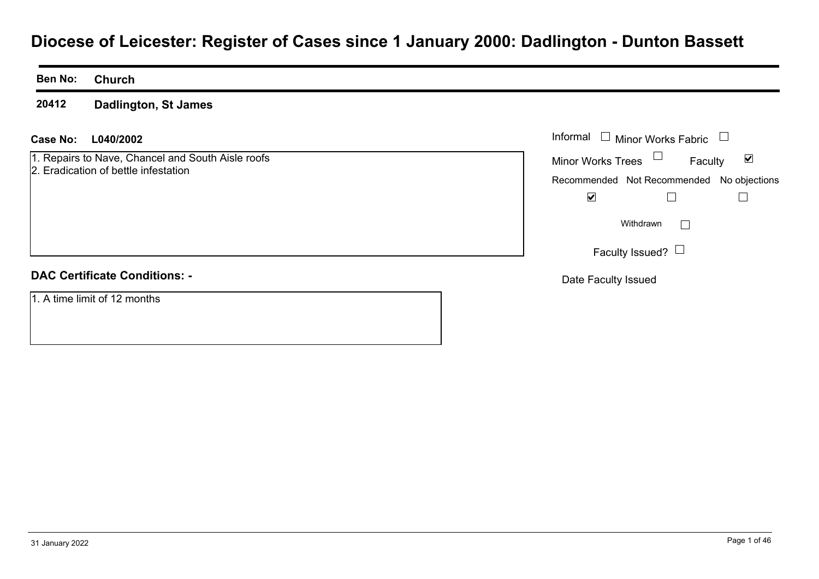# **Diocese of Leicester: Register of Cases since 1 January 2000: Dadlington - Dunton Bassett**

#### **Ben No:Church**

**20412Dadlington, St James**

#### **L040/2002 Case No:** Informal

1. Repairs to Nave, Chancel and South Aisle roofs 2. Eradication of bettle infestation

|  |  |  |  | <b>DAC Certificate Conditions: -</b> |  |
|--|--|--|--|--------------------------------------|--|
|--|--|--|--|--------------------------------------|--|

1. A time limit of 12 months

| Informal $\;\;\Box\;$ Minor Works Fabric |                                           |                         |  |  |
|------------------------------------------|-------------------------------------------|-------------------------|--|--|
| Minor Works Trees                        | Faculty                                   | $\vert\mathcal{V}\vert$ |  |  |
|                                          | Recommended Not Recommended No objections |                         |  |  |
| V                                        |                                           |                         |  |  |
|                                          | Withdrawn                                 |                         |  |  |
|                                          | Faculty Issued? $\Box$                    |                         |  |  |
| Date Faculty Issued                      |                                           |                         |  |  |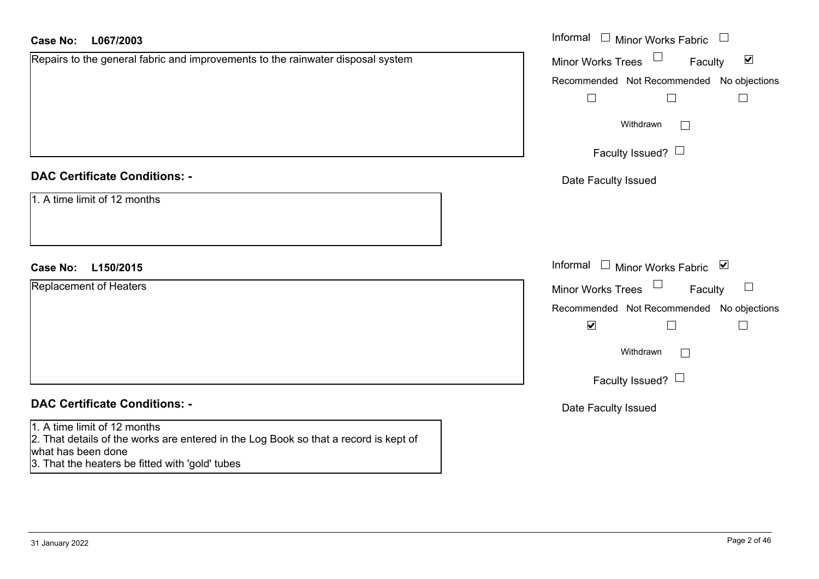| <b>Case No:</b><br>L067/2003                                                                                                                                                                  | Informal $\Box$ Minor Works Fabric $\Box$            |
|-----------------------------------------------------------------------------------------------------------------------------------------------------------------------------------------------|------------------------------------------------------|
| Repairs to the general fabric and improvements to the rainwater disposal system                                                                                                               | Minor Works Trees<br>Faculty<br>$\blacktriangledown$ |
|                                                                                                                                                                                               | Recommended Not Recommended No objections            |
|                                                                                                                                                                                               | $\Box$<br>$\Box$                                     |
|                                                                                                                                                                                               | Withdrawn<br>$\Box$                                  |
|                                                                                                                                                                                               | Faculty Issued? $\Box$                               |
| <b>DAC Certificate Conditions: -</b>                                                                                                                                                          | Date Faculty Issued                                  |
| 1. A time limit of 12 months                                                                                                                                                                  |                                                      |
| <b>Case No:</b><br>L150/2015                                                                                                                                                                  | Informal □ Minor Works Fabric ☑                      |
| Replacement of Heaters                                                                                                                                                                        | Minor Works Trees<br>$\Box$<br>Faculty               |
|                                                                                                                                                                                               | Recommended Not Recommended No objections            |
|                                                                                                                                                                                               | $\blacktriangledown$<br>$\Box$                       |
|                                                                                                                                                                                               | Withdrawn<br>$\mathcal{L}^{\mathcal{A}}$             |
|                                                                                                                                                                                               | Faculty Issued? $\Box$                               |
| <b>DAC Certificate Conditions: -</b>                                                                                                                                                          | Date Faculty Issued                                  |
| 1. A time limit of 12 months<br>2. That details of the works are entered in the Log Book so that a record is kept of<br>what has been done<br>3. That the heaters be fitted with 'gold' tubes |                                                      |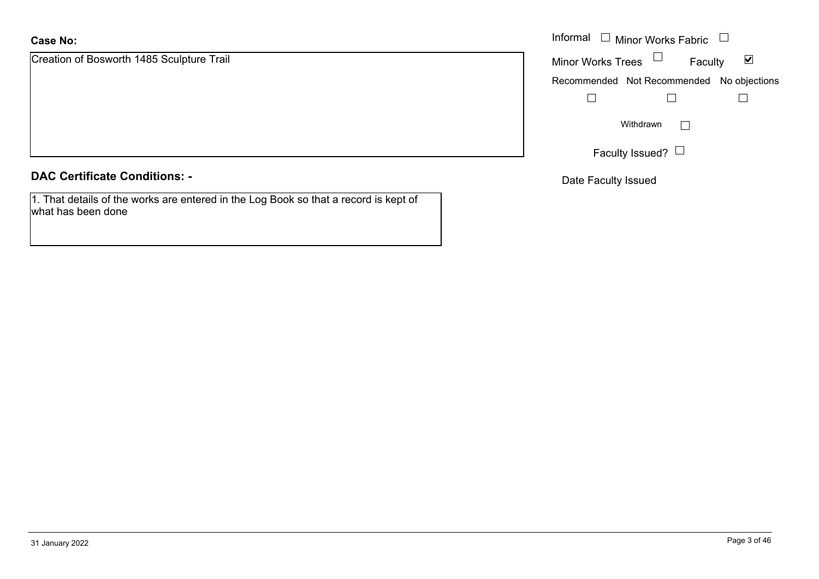Creation of Bosworth 1485 Sculpture Trail

**DAC Certificate Conditions: -**

1. That details of the works are entered in the Log Book so that a record is kept of what has been done

|                                  | Informal $\Box$ Minor Works Fabric $\Box$                   |
|----------------------------------|-------------------------------------------------------------|
| of Bosworth 1485 Sculpture Trail | Minor Works Trees $\Box$<br>$\blacktriangledown$<br>Faculty |
|                                  | Recommended Not Recommended No objections                   |
|                                  |                                                             |
|                                  | Withdrawn<br>$\mathbf{1}$                                   |
|                                  | Faculty Issued? $L$                                         |

Date Faculty Issued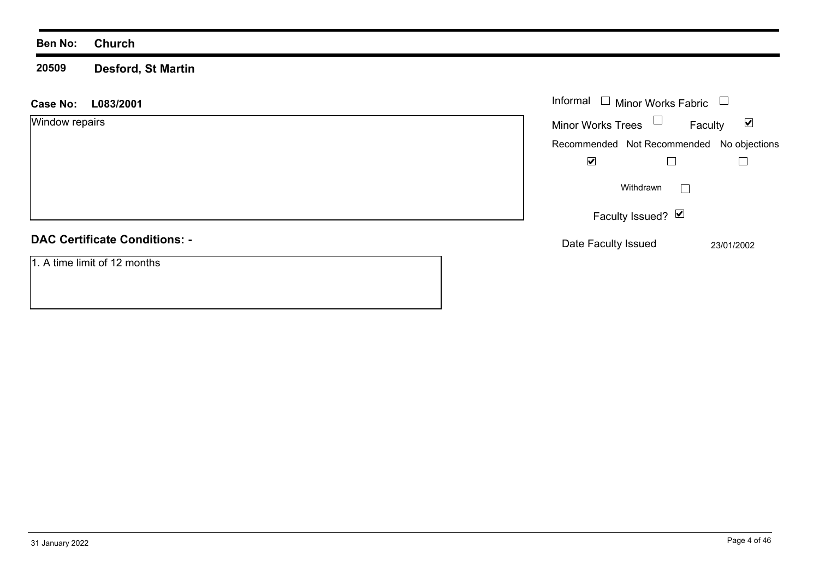#### **Ben No: Church**

**20509 Desford, St Martin**

| L083/2001<br><b>Case No:</b>         | Informal $\Box$ Minor Works Fabric                          |
|--------------------------------------|-------------------------------------------------------------|
| Window repairs                       | Minor Works Trees $\Box$<br>$\blacktriangledown$<br>Faculty |
|                                      | Recommended Not Recommended No objections                   |
|                                      | $\blacktriangledown$                                        |
|                                      | Withdrawn                                                   |
|                                      | Faculty Issued? Ø                                           |
| <b>DAC Certificate Conditions: -</b> | Date Faculty Issued<br>23/01/2002                           |
| 1. A time limit of 12 months         |                                                             |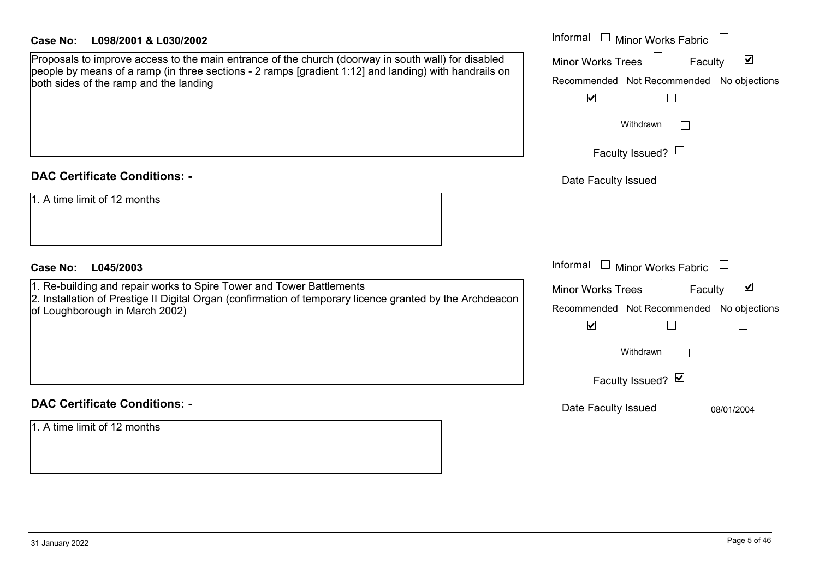| Case No:<br>L098/2001 & L030/2002 |
|-----------------------------------|
|-----------------------------------|

| Proposals to improve access to the main entrance of the church (doorway in south wall) for disabled<br>people by means of a ramp (in three sections - 2 ramps [gradient 1:12] and landing) with handrails on |  |
|--------------------------------------------------------------------------------------------------------------------------------------------------------------------------------------------------------------|--|
| both sides of the ramp and the landing                                                                                                                                                                       |  |
|                                                                                                                                                                                                              |  |

#### **DAC Certificate Conditions: -**

|  |  |  | 1. A time limit of 12 months |
|--|--|--|------------------------------|
|--|--|--|------------------------------|

#### **DAC Certificate Conditions: -**

1. A time limit of 12 months

| <b>Case No:</b><br>L098/2001 & L030/2002                                                                                                                                                                                                               | Informal □ Minor Works Fabric                                                                                                                                          |  |  |
|--------------------------------------------------------------------------------------------------------------------------------------------------------------------------------------------------------------------------------------------------------|------------------------------------------------------------------------------------------------------------------------------------------------------------------------|--|--|
| Proposals to improve access to the main entrance of the church (doorway in south wall) for disabled<br>people by means of a ramp (in three sections - 2 ramps [gradient 1:12] and landing) with handrails on<br>both sides of the ramp and the landing | $\blacktriangledown$<br><b>Minor Works Trees</b><br>Faculty<br>Recommended Not Recommended No objections<br>$\blacktriangledown$                                       |  |  |
|                                                                                                                                                                                                                                                        | Withdrawn<br>$\vert \ \ \vert$<br>Faculty Issued? $\Box$                                                                                                               |  |  |
| <b>DAC Certificate Conditions: -</b><br>1. A time limit of 12 months                                                                                                                                                                                   | Date Faculty Issued                                                                                                                                                    |  |  |
| L045/2003<br><b>Case No:</b><br>1. Re-building and repair works to Spire Tower and Tower Battlements<br>2. Installation of Prestige II Digital Organ (confirmation of temporary licence granted by the Archdeacon<br>of Loughborough in March 2002)    | Informal $\Box$ Minor Works Fabric<br>$\blacktriangledown$<br><b>Minor Works Trees</b><br>Faculty<br>Recommended Not Recommended No objections<br>$\blacktriangledown$ |  |  |
| <b>DAC Certificate Conditions: -</b>                                                                                                                                                                                                                   | Withdrawn<br>$\vert \ \ \vert$<br>Faculty Issued? Ø<br>Date Faculty Issued<br>08/01/2004                                                                               |  |  |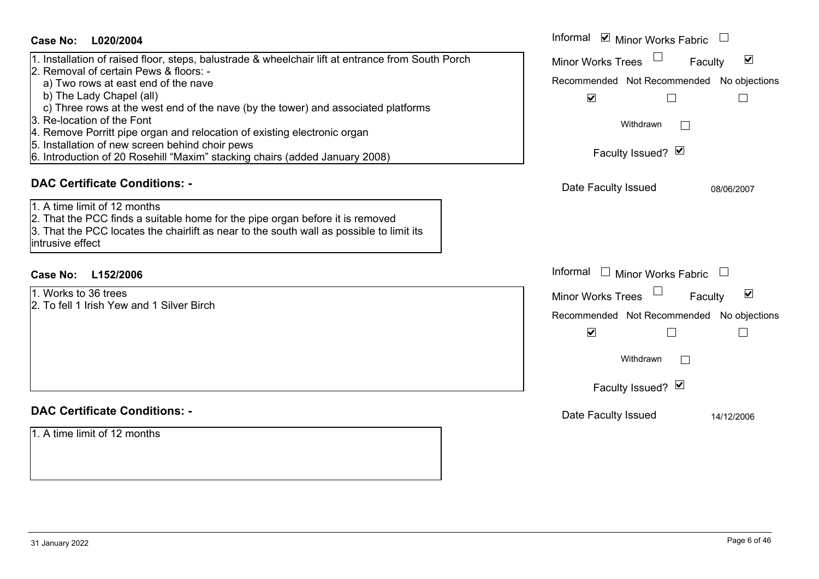| <b>Case No:</b><br>L020/2004                                                                                                                                                                                                                                                                                                                                                                                                                                                                                                                    | Informal ☑ Minor Works Fabric                                                                                                                                                      |
|-------------------------------------------------------------------------------------------------------------------------------------------------------------------------------------------------------------------------------------------------------------------------------------------------------------------------------------------------------------------------------------------------------------------------------------------------------------------------------------------------------------------------------------------------|------------------------------------------------------------------------------------------------------------------------------------------------------------------------------------|
| 1. Installation of raised floor, steps, balustrade & wheelchair lift at entrance from South Porch<br>2. Removal of certain Pews & floors: -<br>a) Two rows at east end of the nave<br>b) The Lady Chapel (all)<br>c) Three rows at the west end of the nave (by the tower) and associated platforms<br>3. Re-location of the Font<br>4. Remove Porritt pipe organ and relocation of existing electronic organ<br>5. Installation of new screen behind choir pews<br>6. Introduction of 20 Rosehill "Maxim" stacking chairs (added January 2008) | $\blacktriangledown$<br><b>Minor Works Trees</b><br>Faculty<br>Recommended Not Recommended No objections<br>$\blacktriangledown$<br>Withdrawn<br>$\mathbf{L}$<br>Faculty Issued? Ø |
| <b>DAC Certificate Conditions: -</b>                                                                                                                                                                                                                                                                                                                                                                                                                                                                                                            | Date Faculty Issued<br>08/06/2007                                                                                                                                                  |
| 1. A time limit of 12 months<br>2. That the PCC finds a suitable home for the pipe organ before it is removed<br>3. That the PCC locates the chairlift as near to the south wall as possible to limit its<br><b>lintrusive effect</b>                                                                                                                                                                                                                                                                                                           |                                                                                                                                                                                    |
| Case No: L152/2006                                                                                                                                                                                                                                                                                                                                                                                                                                                                                                                              | Informal □ Minor Works Fabric                                                                                                                                                      |
| 1. Works to 36 trees<br>2. To fell 1 Irish Yew and 1 Silver Birch                                                                                                                                                                                                                                                                                                                                                                                                                                                                               | Minor Works Trees<br>$\blacktriangledown$<br>Faculty<br>Recommended Not Recommended No objections<br>$\blacktriangledown$                                                          |
|                                                                                                                                                                                                                                                                                                                                                                                                                                                                                                                                                 | Withdrawn                                                                                                                                                                          |
|                                                                                                                                                                                                                                                                                                                                                                                                                                                                                                                                                 | Faculty Issued? Ø                                                                                                                                                                  |
| <b>DAC Certificate Conditions: -</b>                                                                                                                                                                                                                                                                                                                                                                                                                                                                                                            | Date Faculty Issued<br>14/12/2006                                                                                                                                                  |
| 1. A time limit of 12 months                                                                                                                                                                                                                                                                                                                                                                                                                                                                                                                    |                                                                                                                                                                                    |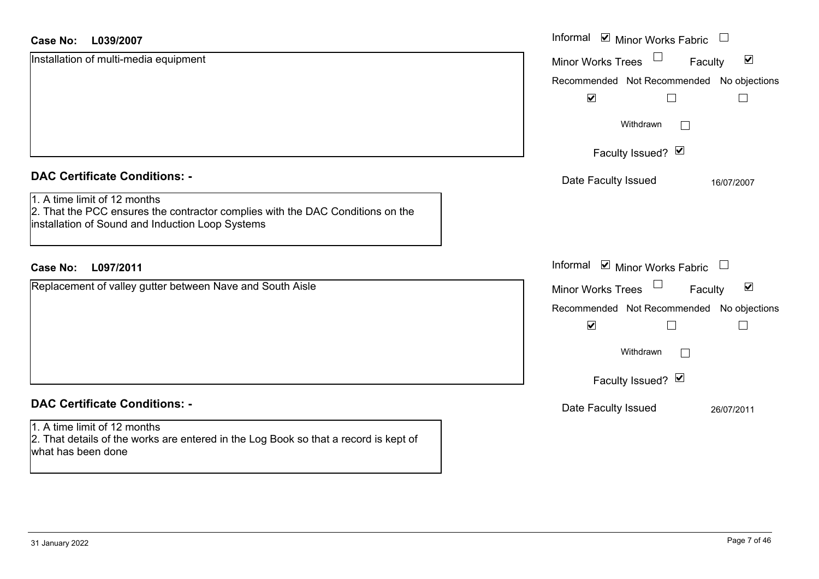| <b>Case No:</b><br>L039/2007                                                                                                                                       | Informal <b>v</b> Minor Works Fabric                        |
|--------------------------------------------------------------------------------------------------------------------------------------------------------------------|-------------------------------------------------------------|
| Installation of multi-media equipment                                                                                                                              | $\blacktriangledown$<br><b>Minor Works Trees</b><br>Faculty |
|                                                                                                                                                                    | Recommended Not Recommended No objections                   |
|                                                                                                                                                                    | $\blacktriangledown$                                        |
|                                                                                                                                                                    | Withdrawn<br>$\Box$                                         |
|                                                                                                                                                                    | Faculty Issued? Ø                                           |
| <b>DAC Certificate Conditions: -</b>                                                                                                                               | Date Faculty Issued<br>16/07/2007                           |
| 1. A time limit of 12 months<br>2. That the PCC ensures the contractor complies with the DAC Conditions on the<br>installation of Sound and Induction Loop Systems |                                                             |
| L097/2011<br><b>Case No:</b>                                                                                                                                       | Informal ☑ Minor Works Fabric                               |
| Replacement of valley gutter between Nave and South Aisle                                                                                                          | $\blacktriangledown$<br>Minor Works Trees<br>Faculty        |
|                                                                                                                                                                    | Recommended Not Recommended No objections                   |
|                                                                                                                                                                    | $\blacktriangledown$                                        |
|                                                                                                                                                                    | Withdrawn<br>$\Box$                                         |
|                                                                                                                                                                    | Faculty Issued? Ø                                           |
| <b>DAC Certificate Conditions: -</b>                                                                                                                               | Date Faculty Issued<br>26/07/2011                           |
| 1. A time limit of 12 months<br>2. That details of the works are entered in the Log Book so that a record is kept of<br>what has been done                         |                                                             |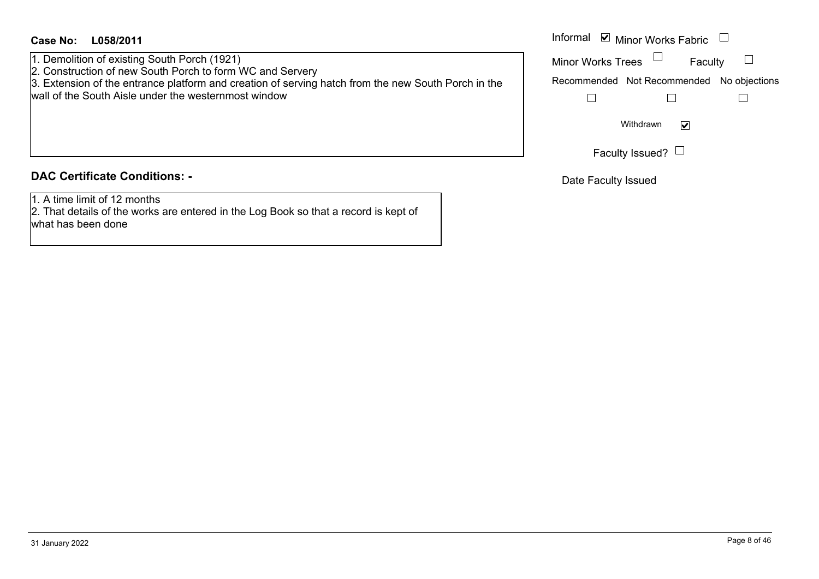1. Demolition of existing South Porch (1921)

2. Construction of new South Porch to form WC and Servery

3. Extension of the entrance platform and creation of serving hatch from the new South Porch in the wall of the South Aisle under the westernmost window

#### **DAC Certificate Conditions: -**

1. A time limit of 12 months

 2. That details of the works are entered in the Log Book so that a record is kept of what has been done

| Informal ⊠ Minor Works Fabric             |           |         |  |
|-------------------------------------------|-----------|---------|--|
| <b>Minor Works Trees</b>                  |           | Faculty |  |
| Recommended Not Recommended No objections |           |         |  |
|                                           |           |         |  |
|                                           | Withdrawn |         |  |

Faculty Issued?  $\Box$ 

Date Faculty Issued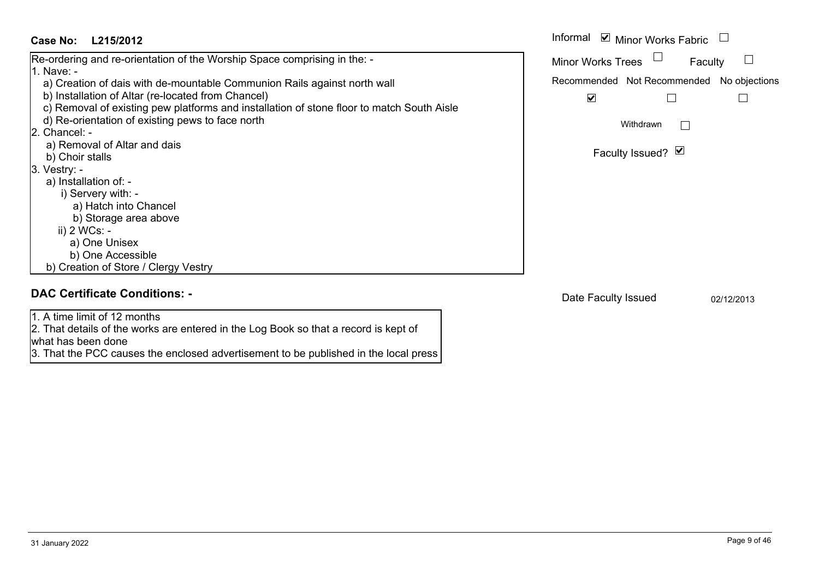| Case No:<br>L215/2012                                                                                                                                                                                                                                                                                                                                                                                                                                                                                                                      | Informal ☑ Minor Works Fabric                                                                       |
|--------------------------------------------------------------------------------------------------------------------------------------------------------------------------------------------------------------------------------------------------------------------------------------------------------------------------------------------------------------------------------------------------------------------------------------------------------------------------------------------------------------------------------------------|-----------------------------------------------------------------------------------------------------|
| Re-ordering and re-orientation of the Worship Space comprising in the: -                                                                                                                                                                                                                                                                                                                                                                                                                                                                   | <b>Minor Works Trees</b><br>Faculty                                                                 |
| 1. Nave: -<br>a) Creation of dais with de-mountable Communion Rails against north wall<br>b) Installation of Altar (re-located from Chancel)<br>c) Removal of existing pew platforms and installation of stone floor to match South Aisle<br>d) Re-orientation of existing pews to face north<br>2. Chancel: -<br>a) Removal of Altar and dais<br>b) Choir stalls<br>$3.$ Vestry: -<br>a) Installation of: -<br>i) Servery with: -<br>a) Hatch into Chancel<br>b) Storage area above<br>ii) 2 WCs: -<br>a) One Unisex<br>b) One Accessible | Recommended Not Recommended No objections<br>$\blacktriangledown$<br>Withdrawn<br>Faculty Issued? Ø |
| b) Creation of Store / Clergy Vestry<br><b>DAC Certificate Conditions: -</b>                                                                                                                                                                                                                                                                                                                                                                                                                                                               |                                                                                                     |
| 1. A time limit of 12 months<br>2. That details of the works are entered in the Log Book so that a record is kept of                                                                                                                                                                                                                                                                                                                                                                                                                       | Date Faculty Issued<br>02/12/2013                                                                   |

what has been done

3. That the PCC causes the enclosed advertisement to be published in the local press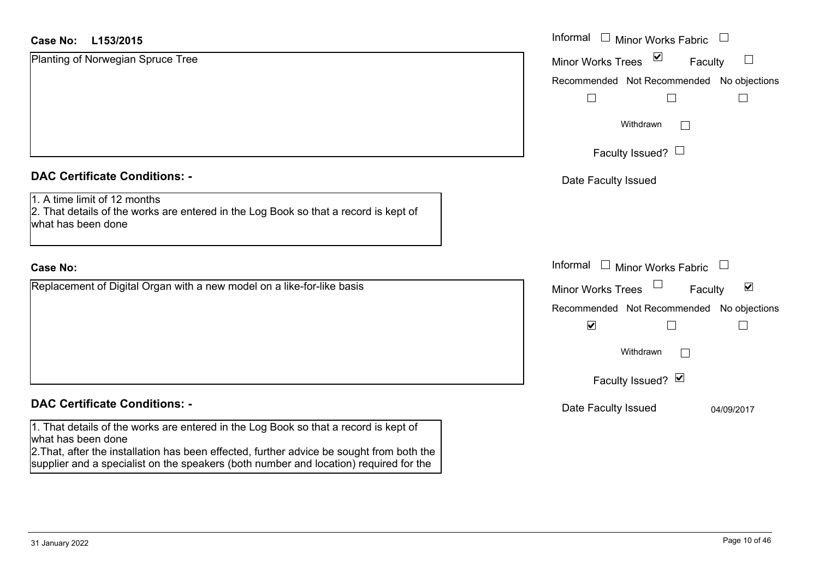| <b>Case No:</b><br>L153/2015                                                                                                                                                                            | Informal<br>$\Box$ Minor Works Fabric                            |
|---------------------------------------------------------------------------------------------------------------------------------------------------------------------------------------------------------|------------------------------------------------------------------|
| Planting of Norwegian Spruce Tree                                                                                                                                                                       | $\triangledown$<br>$\Box$<br><b>Minor Works Trees</b><br>Faculty |
|                                                                                                                                                                                                         | Recommended Not Recommended No objections                        |
|                                                                                                                                                                                                         |                                                                  |
|                                                                                                                                                                                                         | Withdrawn<br>$\mathbf{I}$                                        |
|                                                                                                                                                                                                         | Faculty Issued? $\Box$                                           |
| <b>DAC Certificate Conditions: -</b>                                                                                                                                                                    | Date Faculty Issued                                              |
| 1. A time limit of 12 months<br>2. That details of the works are entered in the Log Book so that a record is kept of<br>what has been done                                                              |                                                                  |
| <b>Case No:</b>                                                                                                                                                                                         | Informal<br>$\Box$ Minor Works Fabric                            |
| Replacement of Digital Organ with a new model on a like-for-like basis                                                                                                                                  | $\blacktriangledown$<br>Minor Works Trees<br>Faculty             |
|                                                                                                                                                                                                         | Recommended Not Recommended No objections                        |
|                                                                                                                                                                                                         | $\blacktriangledown$                                             |
|                                                                                                                                                                                                         | Withdrawn                                                        |
|                                                                                                                                                                                                         | Faculty Issued? Ø                                                |
| <b>DAC Certificate Conditions: -</b>                                                                                                                                                                    | Date Faculty Issued<br>04/09/2017                                |
| 1. That details of the works are entered in the Log Book so that a record is kept of<br>what has been done<br>2. That, after the installation has been effected, further advice be sought from both the |                                                                  |

supplier and a specialist on the speakers (both number and location) required for the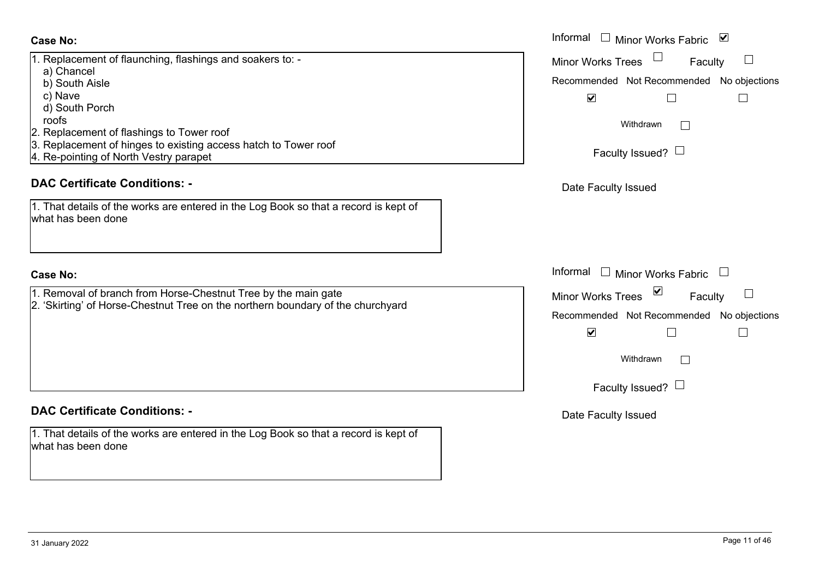| 1. Replacement of flaunching, flashings and soakers to: -       |  |
|-----------------------------------------------------------------|--|
| a) Chancel                                                      |  |
| b) South Aisle                                                  |  |
| c) Nave                                                         |  |
| d) South Porch                                                  |  |
| roofs                                                           |  |
| 2. Replacement of flashings to Tower roof                       |  |
| 3. Replacement of hinges to existing access hatch to Tower roof |  |
| 4. Re-pointing of North Vestry parapet                          |  |
|                                                                 |  |

#### **DAC Certificate Conditions: -**

| 1. That details of the works are entered in the Log Book so that a record is kept of |  |
|--------------------------------------------------------------------------------------|--|
| what has been done                                                                   |  |

#### **Case No:**

- 1. Removal of branch from Horse-Chestnut Tree by the main gate
- 2. 'Skirting' of Horse-Chestnut Tree on the northern boundary of the churchyard

#### **DAC Certificate Conditions: -**

| 1. That details of the works are entered in the Log Book so that a record is kept of |  |
|--------------------------------------------------------------------------------------|--|
| what has been done                                                                   |  |

|                                                                                           | Informal □ Minor Works Fabric ⊠                          |
|-------------------------------------------------------------------------------------------|----------------------------------------------------------|
| cement of flaunching, flashings and soakers to: -                                         | $\overline{\phantom{a}}$<br>Minor Works Trees<br>Faculty |
| ıncel<br>th Aisle                                                                         | Recommended Not Recommended No objections                |
| е                                                                                         | $\blacktriangledown$                                     |
| th Porch                                                                                  |                                                          |
|                                                                                           | Withdrawn                                                |
| cement of flashings to Tower roof                                                         |                                                          |
| cement of hinges to existing access hatch to Tower roof<br>inting of North Vestry parapet | Faculty Issued? $\Box$                                   |
|                                                                                           |                                                          |
| rtificate Conditions: -                                                                   | Date Faculty Issued                                      |
| etails of the works are entered in the Log Book so that a record is kept of<br>been done  |                                                          |
|                                                                                           | Informal $\Box$ Minor Works Fabric                       |
| val of branch from Horse-Chestnut Tree by the main gate                                   | Minor Works Trees ⊠<br>$\Box$<br>Faculty                 |
| g' of Horse-Chestnut Tree on the northern boundary of the churchyard                      |                                                          |
|                                                                                           | Recommended Not Recommended No objections                |
|                                                                                           | $\blacktriangledown$                                     |
|                                                                                           | Withdrawn                                                |
|                                                                                           |                                                          |
|                                                                                           | Faculty Issued? $\Box$                                   |
|                                                                                           |                                                          |
| rtificate Conditions: -                                                                   | Date Faculty Issued                                      |
| etails of the works are entered in the Log Book so that a record is kept of<br>been done  |                                                          |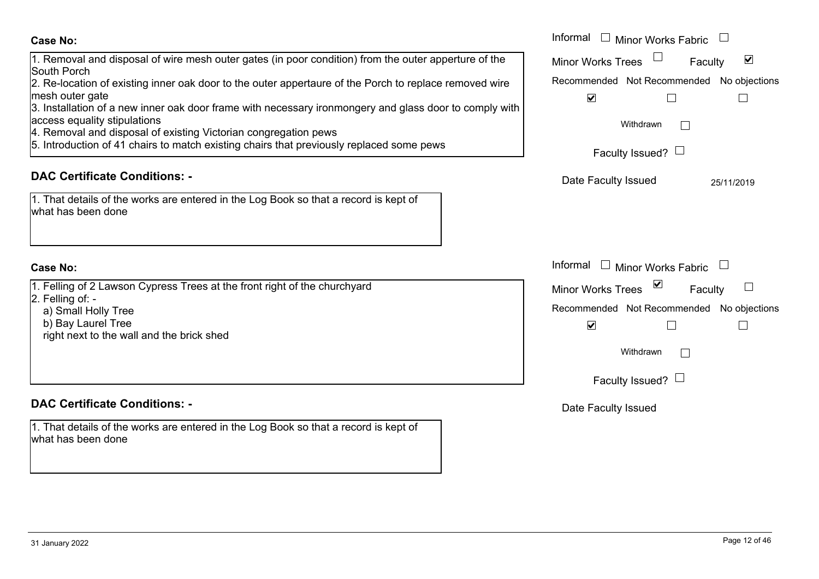1. Removal and disposal of wire mesh outer gates (in poor condition) from the outer apperture of the South Porch2. Re-location of existing inner oak door to the outer appertaure of the Porch to replace removed wire mesh outer gate

3. Installation of a new inner oak door frame with necessary ironmongery and glass door to comply with access equality stipulations

4. Removal and disposal of existing Victorian congregation pews

5. Introduction of 41 chairs to match existing chairs that previously replaced some pews

# **DAC Certificate Conditions: -**

| 1. That details of the works are entered in the Log Book so that a record is kept of |  |
|--------------------------------------------------------------------------------------|--|
| what has been done                                                                   |  |

#### **Case No:**

1. Felling of 2 Lawson Cypress Trees at the front right of the churchyard

- 2. Felling of:
	- a) Small Holly Tree
	- b) Bay Laurel Tree
	- right next to the wall and the brick shed

# **DAC Certificate Conditions: -**

1. That details of the works are entered in the Log Book so that a record is kept of what has been done

| val and disposal of wire mesh outer gates (in poor condition) from the outer apperture of the<br>≀rch<br>ation of existing inner oak door to the outer appertaure of the Porch to replace removed wire<br>ter gate<br>ation of a new inner oak door frame with necessary ironmongery and glass door to comply with<br>quality stipulations<br>val and disposal of existing Victorian congregation pews<br>iction of 41 chairs to match existing chairs that previously replaced some pews | Informal<br>Minor Works Fabric<br>$\blacktriangledown$<br><b>Minor Works Trees</b><br>Faculty<br>Recommended Not Recommended No objections<br>$\blacktriangledown$<br>Withdrawn<br>Faculty Issued? $\Box$ |
|-------------------------------------------------------------------------------------------------------------------------------------------------------------------------------------------------------------------------------------------------------------------------------------------------------------------------------------------------------------------------------------------------------------------------------------------------------------------------------------------|-----------------------------------------------------------------------------------------------------------------------------------------------------------------------------------------------------------|
| rtificate Conditions: -<br>etails of the works are entered in the Log Book so that a record is kept of<br>been done                                                                                                                                                                                                                                                                                                                                                                       | Date Faculty Issued<br>25/11/2019                                                                                                                                                                         |
| of 2 Lawson Cypress Trees at the front right of the churchyard<br>$of: -$<br>all Holly Tree<br><b>Laurel Tree</b><br>ext to the wall and the brick shed                                                                                                                                                                                                                                                                                                                                   | Informal<br><b>Minor Works Fabric</b><br>⊻<br>Minor Works Trees<br>Faculty<br>Recommended Not Recommended No objections<br>$\blacktriangledown$<br>Withdrawn<br>Faculty Issued? $\Box$                    |

Date Faculty Issued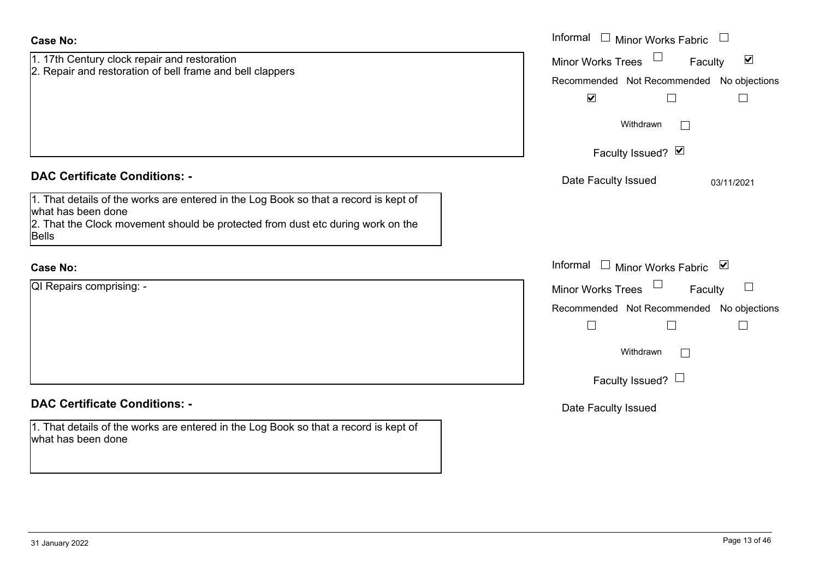| <b>Case No:</b>                                                                                                                                                                                        | Informal $\square$<br>Minor Works Fabric $\;\;\sqcup\;\;$                                                                                                                              |
|--------------------------------------------------------------------------------------------------------------------------------------------------------------------------------------------------------|----------------------------------------------------------------------------------------------------------------------------------------------------------------------------------------|
| 1. 17th Century clock repair and restoration<br>2. Repair and restoration of bell frame and bell clappers                                                                                              | $\blacktriangledown$<br><b>Minor Works Trees</b><br>Faculty<br>Recommended Not Recommended No objections<br>$\blacktriangledown$<br>$\Box$<br>$\Box$<br>Withdrawn<br>Faculty Issued? Ø |
| <b>DAC Certificate Conditions: -</b>                                                                                                                                                                   | Date Faculty Issued<br>03/11/2021                                                                                                                                                      |
| 1. That details of the works are entered in the Log Book so that a record is kept of<br>what has been done<br>2. That the Clock movement should be protected from dust etc during work on the<br>Bells |                                                                                                                                                                                        |
| <b>Case No:</b>                                                                                                                                                                                        | Informal<br>$\Box$ Minor Works Fabric $\Box$                                                                                                                                           |
| QI Repairs comprising: -                                                                                                                                                                               | <b>Minor Works Trees</b><br>Faculty<br>Recommended Not Recommended No objections<br>$\Box$<br>$\mathbf{L}$<br>$\mathbb{R}^n$<br>Withdrawn                                              |
|                                                                                                                                                                                                        | Faculty Issued? $\Box$                                                                                                                                                                 |
| <b>DAC Certificate Conditions: -</b>                                                                                                                                                                   | Date Faculty Issued                                                                                                                                                                    |
| 1. That details of the works are entered in the Log Book so that a record is kept of<br>what has been done                                                                                             |                                                                                                                                                                                        |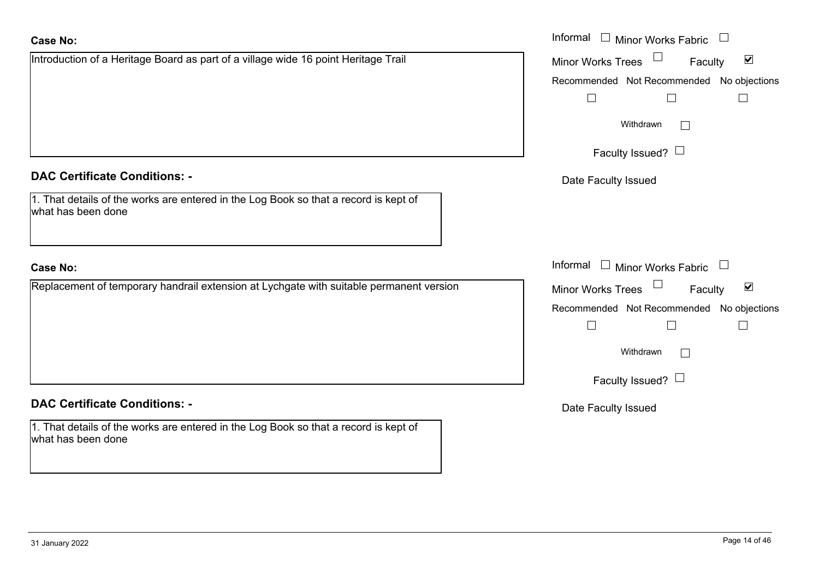| <b>Case No:</b>                                                                                            | Informal $\Box$ Minor Works Fabric $\Box$            |
|------------------------------------------------------------------------------------------------------------|------------------------------------------------------|
| Introduction of a Heritage Board as part of a village wide 16 point Heritage Trail                         | Minor Works Trees<br>$\blacktriangledown$<br>Faculty |
|                                                                                                            | Recommended Not Recommended No objections            |
|                                                                                                            | $\Box$                                               |
|                                                                                                            | Withdrawn                                            |
|                                                                                                            | Faculty Issued? $\Box$                               |
| <b>DAC Certificate Conditions: -</b>                                                                       | Date Faculty Issued                                  |
| 1. That details of the works are entered in the Log Book so that a record is kept of<br>what has been done |                                                      |
| <b>Case No:</b>                                                                                            | Informal<br>$\Box$<br>Minor Works Fabric $\Box$      |
| Replacement of temporary handrail extension at Lychgate with suitable permanent version                    | Minor Works Trees<br>$\blacktriangledown$<br>Faculty |
|                                                                                                            | Recommended Not Recommended<br>No objections         |
|                                                                                                            | $\Box$                                               |
|                                                                                                            | Withdrawn<br>$\Box$                                  |
|                                                                                                            | Faculty Issued? $\Box$                               |
| <b>DAC Certificate Conditions: -</b>                                                                       | Date Faculty Issued                                  |
| 1. That details of the works are entered in the Log Book so that a record is kept of<br>what has been done |                                                      |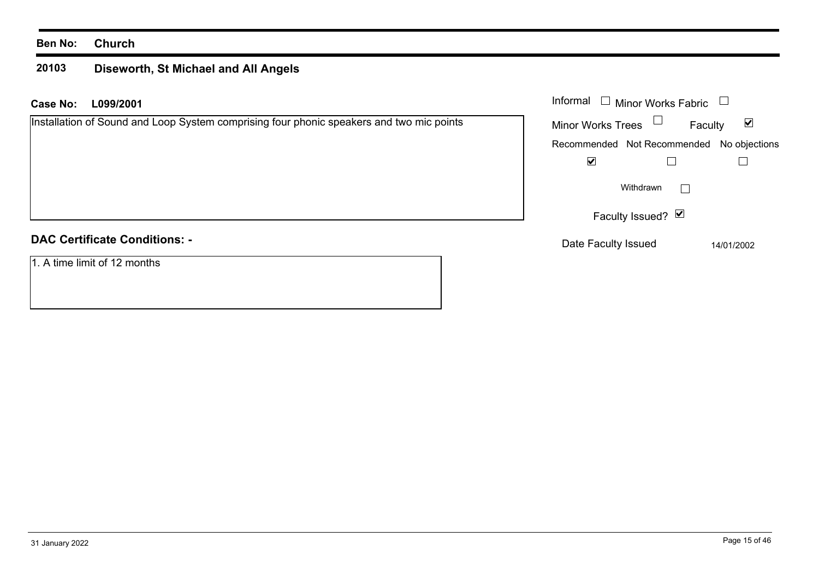#### **Ben No: Church**

#### **20103 Diseworth, St Michael and All Angels**

| <b>Case No:</b><br>L099/2001                                                             | Informal<br><b>Minor Works Fabric</b>                       |
|------------------------------------------------------------------------------------------|-------------------------------------------------------------|
| Installation of Sound and Loop System comprising four phonic speakers and two mic points | Minor Works Trees $\Box$<br>$\blacktriangledown$<br>Faculty |
|                                                                                          | Recommended Not Recommended No objections                   |
|                                                                                          | $\blacktriangledown$                                        |
|                                                                                          | Withdrawn                                                   |
|                                                                                          | Faculty Issued? Ø                                           |
| <b>DAC Certificate Conditions: -</b>                                                     | Date Faculty Issued<br>14/01/2002                           |
| 1. A time limit of 12 months                                                             |                                                             |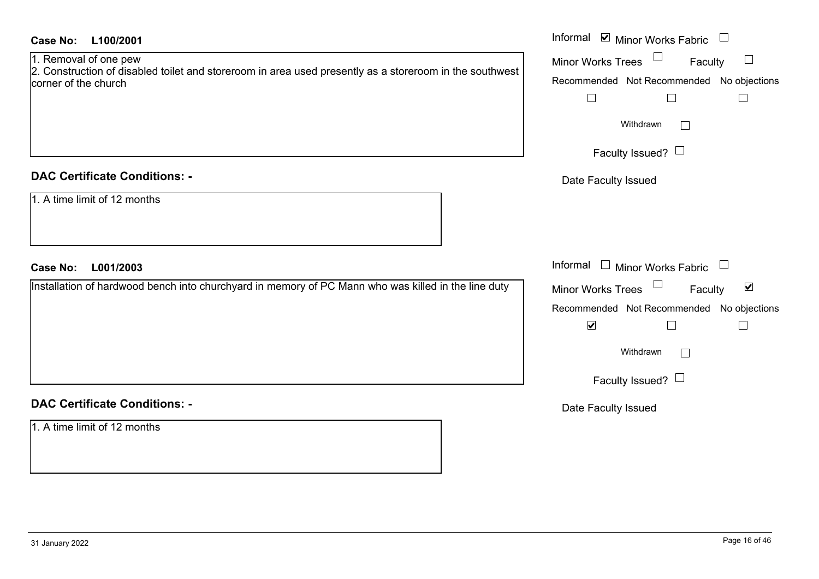| <b>Case No:</b><br>L100/2001                                                                                                                             | Informal <b>v</b> Minor Works Fabric                                                                                                       |
|----------------------------------------------------------------------------------------------------------------------------------------------------------|--------------------------------------------------------------------------------------------------------------------------------------------|
| 1. Removal of one pew<br>2. Construction of disabled toilet and storeroom in area used presently as a storeroom in the southwest<br>corner of the church | ப<br><b>Minor Works Trees</b><br>Faculty<br>Recommended Not Recommended No objections<br>$\sqcup$<br>$\Box$<br>$\mathcal{L}_{\mathcal{A}}$ |
|                                                                                                                                                          | Withdrawn<br>$\mathbb{R}^n$                                                                                                                |
|                                                                                                                                                          | Faculty Issued? $\Box$                                                                                                                     |
| <b>DAC Certificate Conditions: -</b>                                                                                                                     | Date Faculty Issued                                                                                                                        |
| 1. A time limit of 12 months                                                                                                                             |                                                                                                                                            |
| L001/2003<br><b>Case No:</b>                                                                                                                             | Informal<br>$\Box$ Minor Works Fabric<br>$\begin{array}{c} \square \end{array}$                                                            |
| Installation of hardwood bench into churchyard in memory of PC Mann who was killed in the line duty                                                      | Minor Works Trees<br>$\blacktriangledown$<br>Faculty                                                                                       |
|                                                                                                                                                          | Recommended Not Recommended No objections                                                                                                  |
|                                                                                                                                                          | $\blacktriangledown$<br>$\Box$<br>$\vert \ \ \vert$                                                                                        |
|                                                                                                                                                          |                                                                                                                                            |
|                                                                                                                                                          | Withdrawn<br>$\perp$                                                                                                                       |
|                                                                                                                                                          | Faculty Issued? $\Box$                                                                                                                     |
| <b>DAC Certificate Conditions: -</b>                                                                                                                     | Date Faculty Issued                                                                                                                        |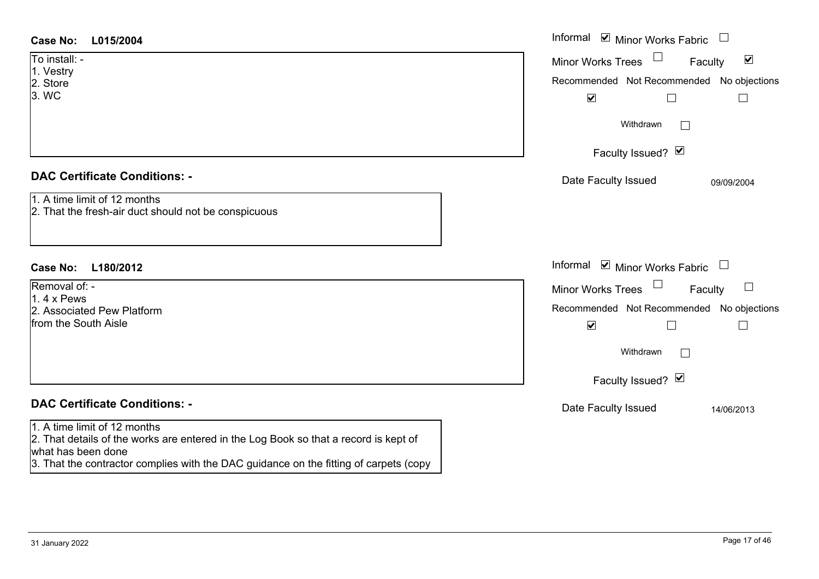| Case No:<br>L015/2004                                                                                                                                                                                                                                                       | Informal $\blacksquare$ Minor Works Fabric $\Box$                                                                                                                                                                         |
|-----------------------------------------------------------------------------------------------------------------------------------------------------------------------------------------------------------------------------------------------------------------------------|---------------------------------------------------------------------------------------------------------------------------------------------------------------------------------------------------------------------------|
| To install: -<br>1. Vestry<br>2. Store<br>3. WC                                                                                                                                                                                                                             | $\blacktriangledown$<br><b>Minor Works Trees</b><br>Faculty<br>Recommended Not Recommended No objections<br>$\blacktriangledown$<br>⊔<br>Withdrawn<br>$\mathbf{L}$<br>Faculty Issued? Ø                                   |
| <b>DAC Certificate Conditions: -</b><br>1. A time limit of 12 months<br>2. That the fresh-air duct should not be conspicuous                                                                                                                                                | Date Faculty Issued<br>09/09/2004                                                                                                                                                                                         |
| <b>Case No:</b><br>L180/2012<br>Removal of: -<br>$1.4x$ Pews<br>2. Associated Pew Platform<br>from the South Aisle                                                                                                                                                          | Informal <b>v</b> Minor Works Fabric<br>$\Box$<br>Minor Works Trees<br>$\Box$<br>Faculty<br>Recommended Not Recommended No objections<br>$\blacktriangledown$<br>$\Box$<br>Withdrawn<br>$\mathbf{1}$<br>Faculty Issued? Ø |
| <b>DAC Certificate Conditions: -</b><br>1. A time limit of 12 months<br>2. That details of the works are entered in the Log Book so that a record is kept of<br>what has been done<br>3. That the contractor complies with the DAC guidance on the fitting of carpets (copy | Date Faculty Issued<br>14/06/2013                                                                                                                                                                                         |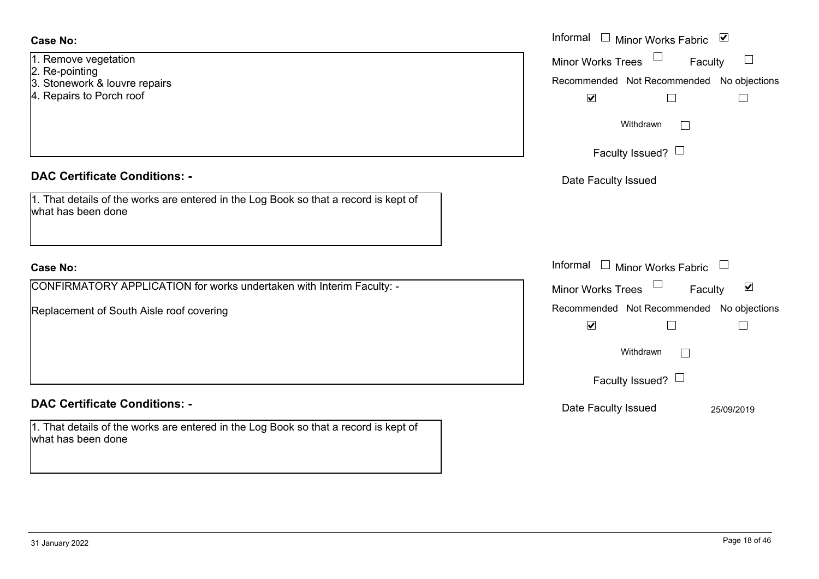- 1. Remove vegetation
- 2. Re-pointing
- 3. Stonework & louvre repairs
- 4. Repairs to Porch roof

#### **DAC Certificate Conditions: -**

| 1. That details of the works are entered in the Log Book so that a record is kept of |  |
|--------------------------------------------------------------------------------------|--|
| what has been done                                                                   |  |

#### **Case No:**

CONFIRMATORY APPLICATION for works undertaken with Interim Faculty: -

Replacement of South Aisle roof covering

#### **DAC Certificate Conditions: -**

1. That details of the works are entered in the Log Book so that a record is kept of what has been done

|                                                                                          | Informal □ Minor Works Fabric ⊠                                                                                                 |
|------------------------------------------------------------------------------------------|---------------------------------------------------------------------------------------------------------------------------------|
| ve vegetation<br>inting<br>work & louvre repairs<br>s to Porch roof                      | Minor Works Trees<br>Faculty<br>$\Box$<br>Recommended Not Recommended No objections<br>$\blacktriangledown$<br>$\Box$<br>$\Box$ |
|                                                                                          | Withdrawn<br>Faculty Issued? $\Box$                                                                                             |
| rtificate Conditions: -                                                                  | Date Faculty Issued                                                                                                             |
| etails of the works are entered in the Log Book so that a record is kept of<br>been done |                                                                                                                                 |
|                                                                                          | Informal $\Box$ Minor Works Fabric $\Box$                                                                                       |
| MATORY APPLICATION for works undertaken with Interim Faculty: -                          | Minor Works Trees<br>$\blacktriangledown$<br>Faculty                                                                            |
| nent of South Aisle roof covering                                                        | Recommended Not Recommended No objections<br>$\blacktriangledown$<br>$\mathsf{L}$<br>Withdrawn                                  |
|                                                                                          | Faculty Issued? $\Box$                                                                                                          |
| rtificate Conditions: -                                                                  | Date Faculty Issued<br>25/09/2019                                                                                               |
| etails of the works are entered in the Log Book so that a record is kept of              |                                                                                                                                 |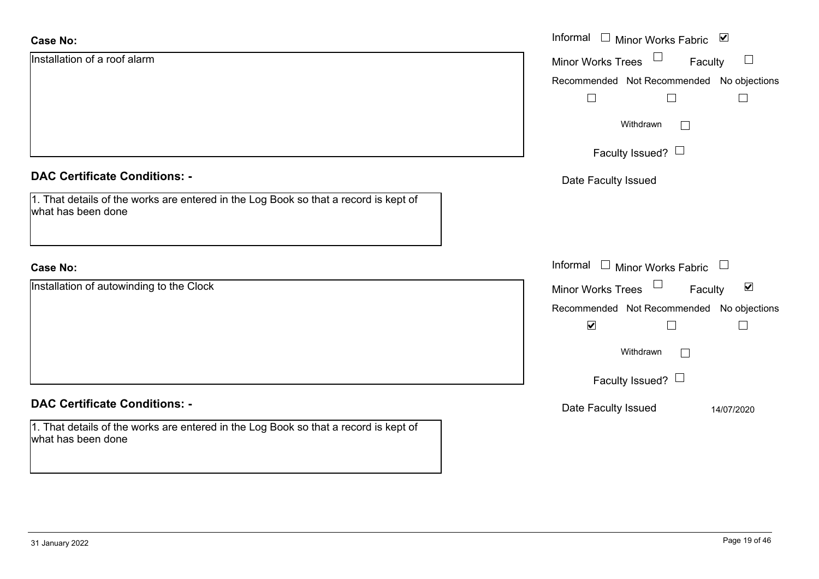| <b>Case No:</b>                                                                                            | Informal $\Box$ Minor Works Fabric $\Box$            |
|------------------------------------------------------------------------------------------------------------|------------------------------------------------------|
| Installation of a roof alarm                                                                               | Minor Works Trees<br>$\Box$<br>Faculty               |
|                                                                                                            | Recommended Not Recommended No objections            |
|                                                                                                            |                                                      |
|                                                                                                            | Withdrawn                                            |
|                                                                                                            | Faculty Issued? $\Box$                               |
| <b>DAC Certificate Conditions: -</b>                                                                       | Date Faculty Issued                                  |
| 1. That details of the works are entered in the Log Book so that a record is kept of<br>what has been done |                                                      |
|                                                                                                            |                                                      |
| <b>Case No:</b>                                                                                            | Informal $\Box$ Minor Works Fabric $\Box$            |
| Installation of autowinding to the Clock                                                                   | $\blacktriangledown$<br>Minor Works Trees<br>Faculty |
|                                                                                                            | Recommended Not Recommended No objections            |
|                                                                                                            | $\blacktriangledown$                                 |
|                                                                                                            | Withdrawn                                            |
|                                                                                                            | Faculty Issued? $\Box$                               |
| <b>DAC Certificate Conditions: -</b>                                                                       | Date Faculty Issued<br>14/07/2020                    |
| 1. That details of the works are entered in the Log Book so that a record is kept of<br>what has been done |                                                      |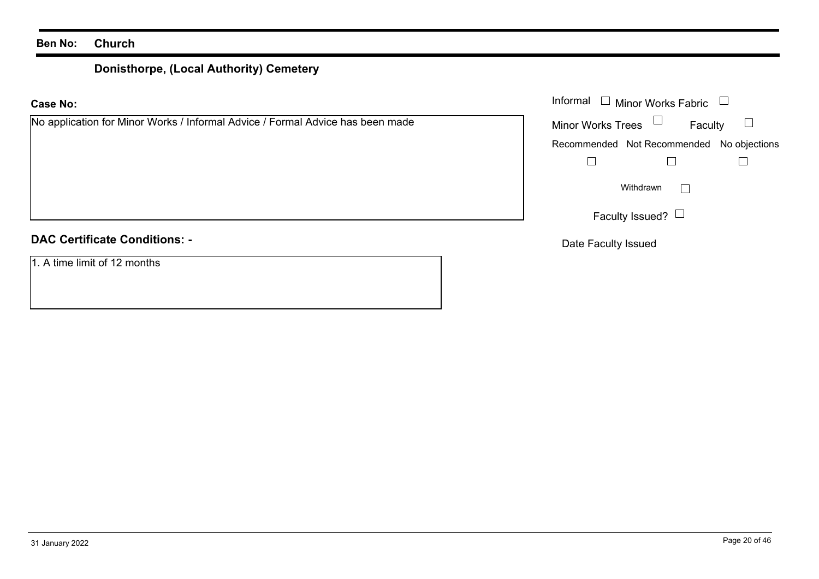#### **Ben No: Church**

# **Donisthorpe, (Local Authority) Cemetery**

#### **Case No:**

| No application for Minor Works / Informal Advice / Formal Advice has been made |  |  |
|--------------------------------------------------------------------------------|--|--|
|--------------------------------------------------------------------------------|--|--|

#### **DAC Certificate Conditions: -**

1. A time limit of 12 months

|                                                                       | Informal $\Box$ Minor Works Fabric $\Box$ |
|-----------------------------------------------------------------------|-------------------------------------------|
| ation for Minor Works / Informal Advice / Formal Advice has been made | Minor Works Trees $\Box$<br>Faculty       |
|                                                                       | Recommended Not Recommended No objections |
|                                                                       |                                           |
|                                                                       | Withdrawn                                 |
|                                                                       | Faculty Issued? $\Box$                    |

Date Faculty Issued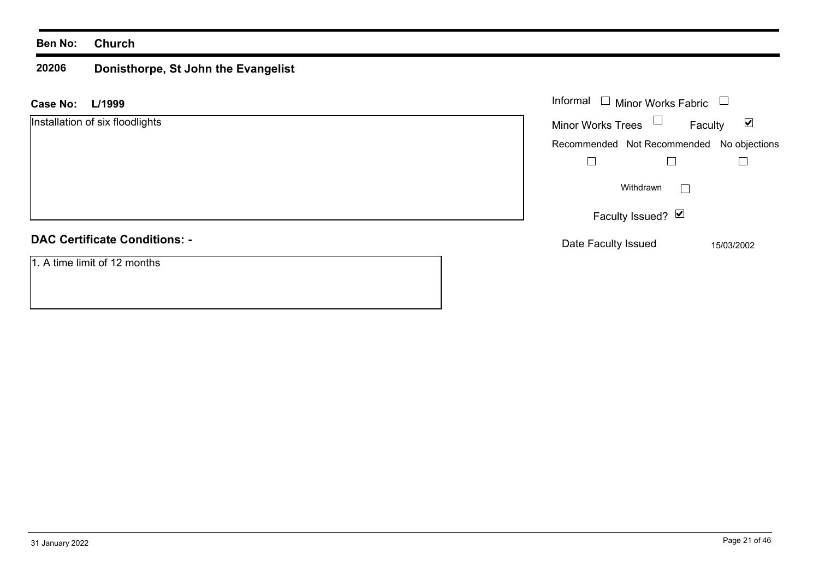#### **Ben No: Church**

#### **20206 Donisthorpe, St John the Evangelist**

| L/1999<br><b>Case No:</b>            | Informal<br>Minor Works Fabric<br>$\mathbf{L}$              |
|--------------------------------------|-------------------------------------------------------------|
| Installation of six floodlights      | Minor Works Trees $\Box$<br>$\blacktriangledown$<br>Faculty |
|                                      | Recommended Not Recommended No objections                   |
|                                      |                                                             |
|                                      | Withdrawn<br>$\mathbf{L}$                                   |
|                                      | Faculty Issued? Ø                                           |
| <b>DAC Certificate Conditions: -</b> | Date Faculty Issued<br>15/03/2002                           |
| 1. A time limit of 12 months         |                                                             |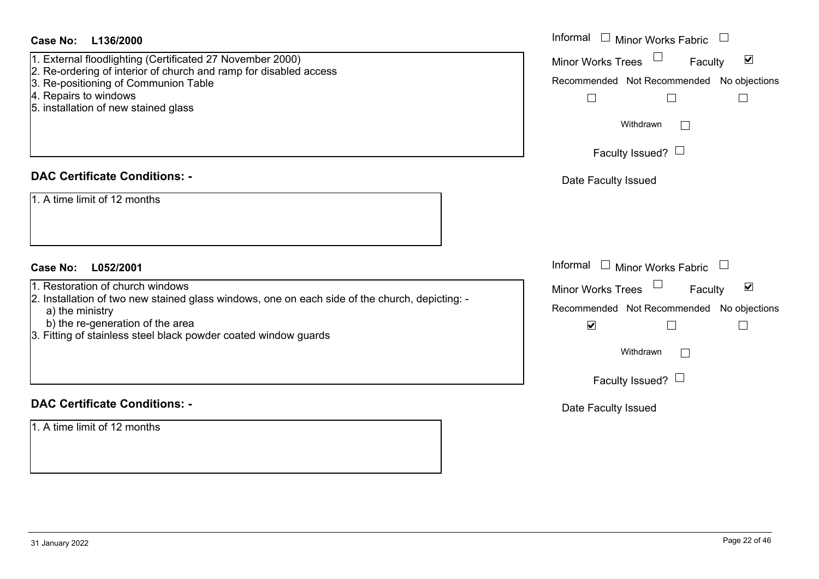| <b>Case No:</b><br>L136/2000                                                                                                                                                                                                                                 | Informal $\square$<br><b>Minor Works Fabric</b>                                                                                                                                                                  |
|--------------------------------------------------------------------------------------------------------------------------------------------------------------------------------------------------------------------------------------------------------------|------------------------------------------------------------------------------------------------------------------------------------------------------------------------------------------------------------------|
| 1. External floodlighting (Certificated 27 November 2000)<br>2. Re-ordering of interior of church and ramp for disabled access<br>3. Re-positioning of Communion Table<br>4. Repairs to windows<br>5. installation of new stained glass                      | $\blacktriangledown$<br><b>Minor Works Trees</b><br>Faculty<br>Recommended Not Recommended No objections<br>$\Box$<br>Withdrawn<br>$\Box$<br>Faculty Issued? $\Box$                                              |
| <b>DAC Certificate Conditions: -</b>                                                                                                                                                                                                                         | Date Faculty Issued                                                                                                                                                                                              |
| 1. A time limit of 12 months                                                                                                                                                                                                                                 |                                                                                                                                                                                                                  |
| <b>Case No:</b><br>L052/2001                                                                                                                                                                                                                                 | Informal $\Box$<br>Minor Works Fabric<br>$\Box$                                                                                                                                                                  |
| 1. Restoration of church windows<br>2. Installation of two new stained glass windows, one on each side of the church, depicting: -<br>a) the ministry<br>b) the re-generation of the area<br>3. Fitting of stainless steel black powder coated window guards | Minor Works Trees<br>$\blacktriangledown$<br>Faculty<br>Recommended Not Recommended No objections<br>$\blacktriangledown$<br>$\Box$<br>$\overline{\phantom{a}}$<br>Withdrawn<br>$\Box$<br>Faculty Issued? $\Box$ |
| <b>DAC Certificate Conditions: -</b>                                                                                                                                                                                                                         | Date Faculty Issued                                                                                                                                                                                              |
| 1. A time limit of 12 months                                                                                                                                                                                                                                 |                                                                                                                                                                                                                  |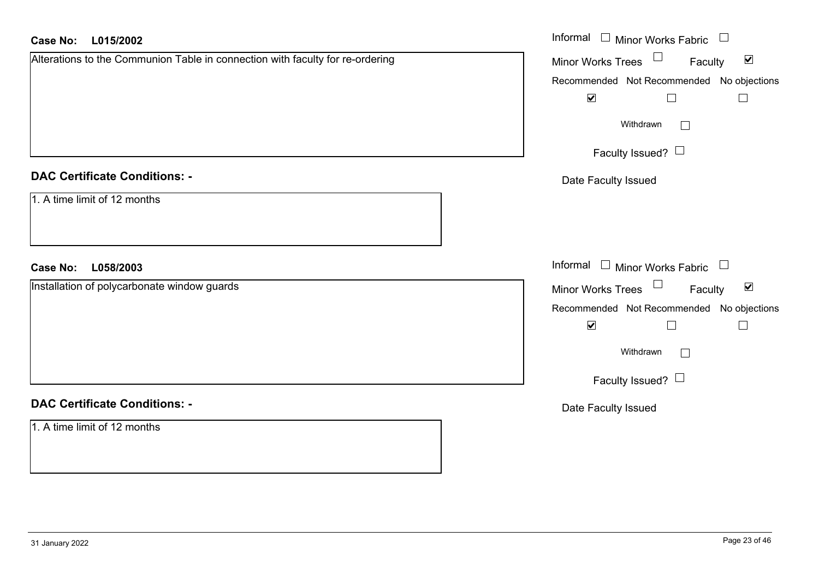| L015/2002<br><b>Case No:</b>                                                  | Informal □ Minor Works Fabric                                     |
|-------------------------------------------------------------------------------|-------------------------------------------------------------------|
| Alterations to the Communion Table in connection with faculty for re-ordering | Minor Works Trees <sup>1</sup><br>Faculty<br>$\blacktriangledown$ |
|                                                                               | Recommended Not Recommended No objections                         |
|                                                                               | $\blacktriangledown$<br>$\Box$<br>$\sqcup$                        |
|                                                                               | Withdrawn<br>$\Box$                                               |
|                                                                               | Faculty Issued? $\Box$                                            |
| <b>DAC Certificate Conditions: -</b>                                          | Date Faculty Issued                                               |
| 1. A time limit of 12 months                                                  |                                                                   |
| <b>Case No:</b><br>L058/2003                                                  | Informal $\Box$ Minor Works Fabric $\Box$                         |
| Installation of polycarbonate window guards                                   | Minor Works Trees $\Box$<br>$\blacktriangledown$<br>Faculty       |
|                                                                               | Recommended Not Recommended No objections                         |
|                                                                               | $\blacktriangledown$<br>$\Box$<br>$\Box$                          |
|                                                                               | Withdrawn<br>$\vert$ $\vert$                                      |
|                                                                               | Faculty Issued? $\Box$                                            |
| <b>DAC Certificate Conditions: -</b>                                          | Date Faculty Issued                                               |
| 1. A time limit of 12 months                                                  |                                                                   |
|                                                                               |                                                                   |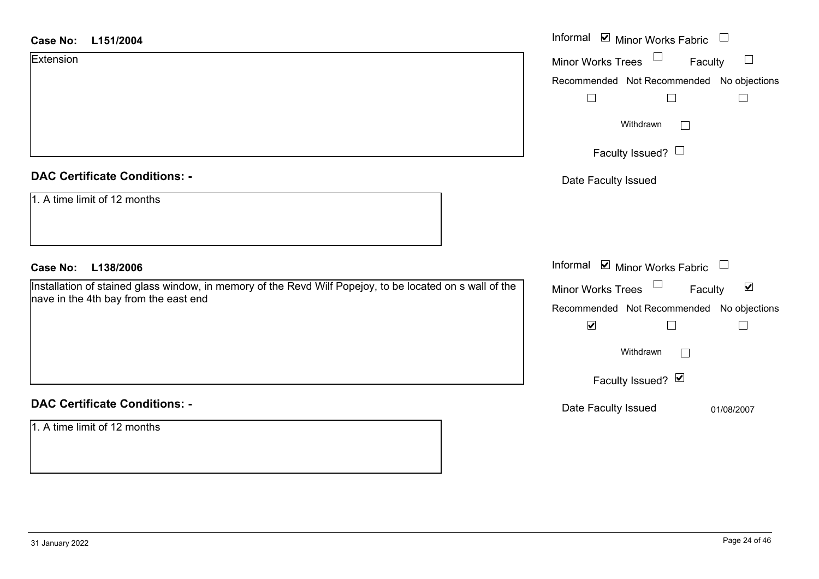| <b>Case No:</b><br>L151/2004                                                                             | Informal ⊠ Minor Works Fabric                        |
|----------------------------------------------------------------------------------------------------------|------------------------------------------------------|
| Extension                                                                                                | Minor Works Trees<br>$\Box$<br>Faculty               |
|                                                                                                          | Recommended Not Recommended No objections            |
|                                                                                                          | $\Box$                                               |
|                                                                                                          | Withdrawn<br>$\Box$                                  |
|                                                                                                          | Faculty Issued? $\Box$                               |
| <b>DAC Certificate Conditions: -</b>                                                                     | Date Faculty Issued                                  |
| 1. A time limit of 12 months                                                                             |                                                      |
| L138/2006<br><b>Case No:</b>                                                                             | Informal Ø Minor Works Fabric U                      |
| Installation of stained glass window, in memory of the Revd Wilf Popejoy, to be located on s wall of the | $\blacktriangledown$<br>Minor Works Trees<br>Faculty |
| nave in the 4th bay from the east end                                                                    | Recommended Not Recommended No objections            |
|                                                                                                          | $\blacktriangledown$<br>$\Box$<br>$\Box$             |
|                                                                                                          | Withdrawn<br>$\mathbb{R}^n$                          |
|                                                                                                          | Faculty Issued? Ø                                    |
| <b>DAC Certificate Conditions: -</b>                                                                     | Date Faculty Issued<br>01/08/2007                    |
| 1. A time limit of 12 months                                                                             |                                                      |

 $\sim$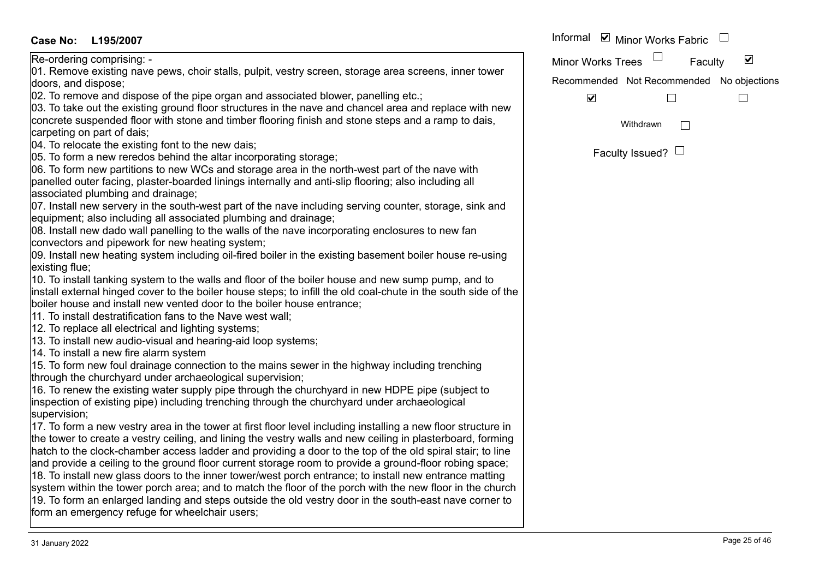01. Remove existing nave pews, choir stalls, pulpit, vestry screen, storage area screens, inner tower doors, and dispose; 02. To remove and dispose of the pipe organ and associated blower, panelling etc.; 03. To take out the existing ground floor structures in the nave and chancel area and replace with new concrete suspended floor with stone and timber flooring finish and stone steps and a ramp to dais, carpeting on part of dais; 04. To relocate the existing font to the new dais; 05. To form a new reredos behind the altar incorporating storage; 06. To form new partitions to new WCs and storage area in the north-west part of the nave with panelled outer facing, plaster-boarded linings internally and anti-slip flooring; also including all associated plumbing and drainage; 07. Install new servery in the south-west part of the nave including serving counter, storage, sink and equipment; also including all associated plumbing and drainage; 08. Install new dado wall panelling to the walls of the nave incorporating enclosures to new fan convectors and pipework for new heating system; 09. Install new heating system including oil-fired boiler in the existing basement boiler house re-using existing flue; 10. To install tanking system to the walls and floor of the boiler house and new sump pump, and to install external hinged cover to the boiler house steps; to infill the old coal-chute in the south side of the boiler house and install new vented door to the boiler house entrance; 11. To install destratification fans to the Nave west wall; 12. To replace all electrical and lighting systems; 13. To install new audio-visual and hearing-aid loop systems; 14. To install a new fire alarm system 15. To form new foul drainage connection to the mains sewer in the highway including trenching through the churchyard under archaeological supervision; 16. To renew the existing water supply pipe through the churchyard in new HDPE pipe (subject to inspection of existing pipe) including trenching through the churchyard under archaeological supervision; 17. To form a new vestry area in the tower at first floor level including installing a new floor structure in the tower to create a vestry ceiling, and lining the vestry walls and new ceiling in plasterboard, forming hatch to the clock-chamber access ladder and providing a door to the top of the old spiral stair; to line and provide a ceiling to the ground floor current storage room to provide a ground-floor robing space; 18. To install new glass doors to the inner tower/west porch entrance; to install new entrance matting system within the tower porch area; and to match the floor of the porch with the new floor in the church 19. To form an enlarged landing and steps outside the old vestry door in the south-east nave corner to form an emergency refuge for wheelchair users;

Informal  $\vee$  Minor Works Fabric  $\Box$  $\Box$  $\blacktriangledown$ Minor Works TreesFaculty Recommended Not Recommended No objections  $\overline{\mathbf{v}}$  $\Box$  $\Box$ Withdrawn $\Box$ Faculty Issued?  $\Box$ 

Re-ordering comprising: -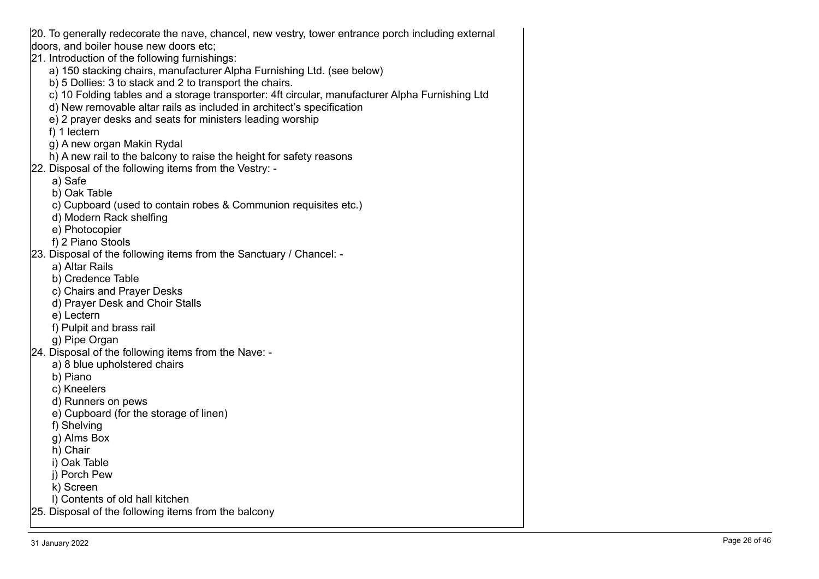20. To generally redecorate the nave, chancel, new vestry, tower entrance porch including external doors, and boiler house new doors etc; 21. Introduction of the following furnishings: a) 150 stacking chairs, manufacturer Alpha Furnishing Ltd. (see below) b) 5 Dollies: 3 to stack and 2 to transport the chairs. c) 10 Folding tables and a storage transporter: 4ft circular, manufacturer Alpha Furnishing Ltd d) New removable altar rails as included in architect's specification e) 2 prayer desks and seats for ministers leading worship f) 1 lectern g) A new organ Makin Rydal h) A new rail to the balcony to raise the height for safety reasons 22. Disposal of the following items from the Vestry: a) Safe b) Oak Table c) Cupboard (used to contain robes & Communion requisites etc.) d) Modern Rack shelfing e) Photocopier f) 2 Piano Stools 23. Disposal of the following items from the Sanctuary / Chancel: a) Altar Rails b) Credence Table c) Chairs and Prayer Desks d) Prayer Desk and Choir Stalls e) Lectern f) Pulpit and brass rail g) Pipe Organ 24. Disposal of the following items from the Nave: a) 8 blue upholstered chairs b) Piano c) Kneelers d) Runners on pews e) Cupboard (for the storage of linen) f) Shelving g) Alms Box h) Chair i) Oak Table i) Porch Pew k) Screen l) Contents of old hall kitchen 25. Disposal of the following items from the balcony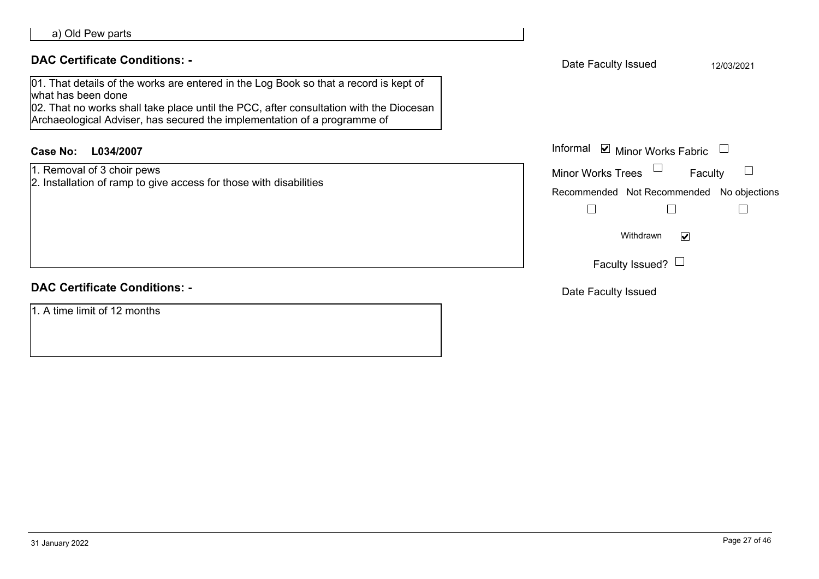| lwhat has been done<br>02. That no works shall take place until the PCC, after consultation with the Diocesan<br>Archaeological Adviser, has secured the implementation of a programme of |                                   |
|-------------------------------------------------------------------------------------------------------------------------------------------------------------------------------------------|-----------------------------------|
| Case No:<br>L034/2007                                                                                                                                                                     | Informal ■ Minor Works Fabric     |
| 1. Removal of 3 choir pews<br>2. Installation of ramp to give access for those with disabilities                                                                                          | Minor Works Trees<br>Fac          |
|                                                                                                                                                                                           | Recommended Not Recommended       |
|                                                                                                                                                                                           |                                   |
|                                                                                                                                                                                           | $\blacktriangledown$<br>Withdrawn |
|                                                                                                                                                                                           | Faculty Issued? $\Box$            |
|                                                                                                                                                                                           |                                   |

01. That details of the works are entered in the Log Book so that a record is kept of what has been done

## **DAC Certificate Conditions: -**

1. A time limit of 12 months

 $\hfill \square$ Faculty

ended No objections

Date Faculty Issued

**DAC Certificate Conditions: -** and the state of the state of the late Faculty Issued and the state of the state of the state of the state of the state of the state of the state of the state of the state of the state of th

 $\Box$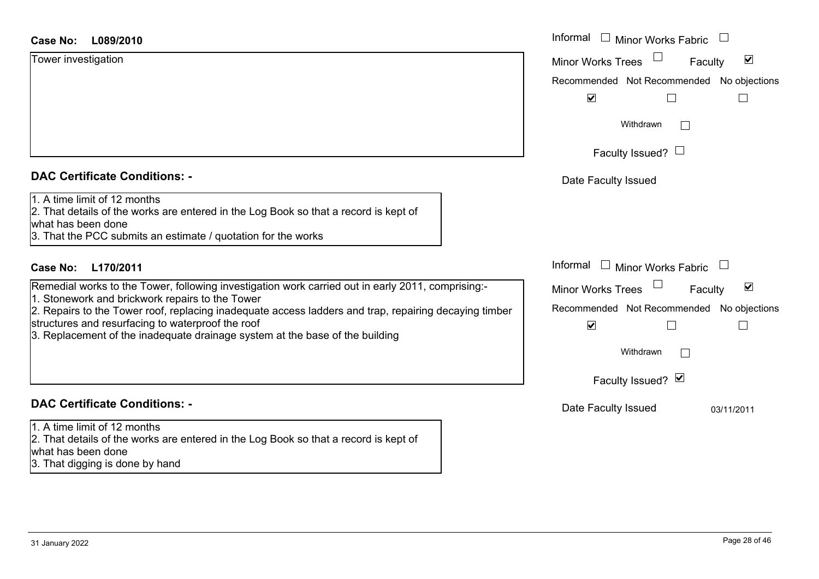| Case No:<br>L089/2010                                                                                                                                                                                                                                                                         | Informal □ Minor Works Fabric                                     |
|-----------------------------------------------------------------------------------------------------------------------------------------------------------------------------------------------------------------------------------------------------------------------------------------------|-------------------------------------------------------------------|
| Tower investigation                                                                                                                                                                                                                                                                           | Minor Works Trees<br>$\blacktriangledown$<br>Faculty              |
|                                                                                                                                                                                                                                                                                               | Recommended Not Recommended No objections                         |
|                                                                                                                                                                                                                                                                                               | $\blacktriangledown$<br>$\Box$                                    |
|                                                                                                                                                                                                                                                                                               | Withdrawn                                                         |
|                                                                                                                                                                                                                                                                                               | Faculty Issued? $\Box$                                            |
| <b>DAC Certificate Conditions: -</b>                                                                                                                                                                                                                                                          | Date Faculty Issued                                               |
| 1. A time limit of 12 months<br>2. That details of the works are entered in the Log Book so that a record is kept of<br>what has been done<br>3. That the PCC submits an estimate / quotation for the works                                                                                   |                                                                   |
| Case No:<br>L170/2011                                                                                                                                                                                                                                                                         | Informal<br>$\Box$ Minor Works Fabric                             |
| Remedial works to the Tower, following investigation work carried out in early 2011, comprising:-                                                                                                                                                                                             | $\blacktriangledown$<br>Minor Works Trees<br>Faculty              |
| 1. Stonework and brickwork repairs to the Tower<br>2. Repairs to the Tower roof, replacing inadequate access ladders and trap, repairing decaying timber<br>structures and resurfacing to waterproof the roof<br>3. Replacement of the inadequate drainage system at the base of the building | Recommended Not Recommended No objections<br>$\blacktriangledown$ |
|                                                                                                                                                                                                                                                                                               | Withdrawn                                                         |
|                                                                                                                                                                                                                                                                                               | Faculty Issued? Ø                                                 |
| <b>DAC Certificate Conditions: -</b>                                                                                                                                                                                                                                                          | Date Faculty Issued<br>03/11/2011                                 |
| 1. A time limit of 12 months<br>2. That details of the works are entered in the Log Book so that a record is kept of                                                                                                                                                                          |                                                                   |

what has been done

3. That digging is done by hand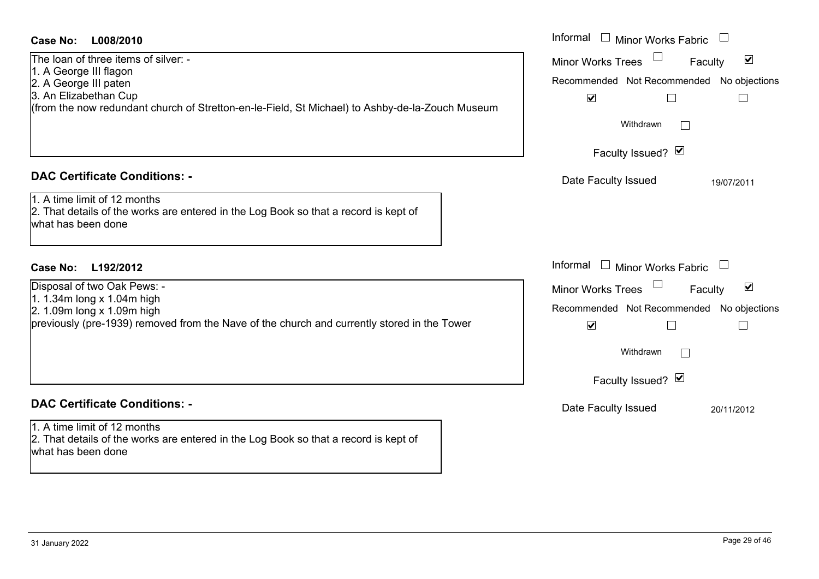#### **L008/2010Case No:** Informal

The loan of three items of silver: -1. A George III flagon 2. A George III paten 3. An Elizabethan Cup (from the now redundant church of Stretton-en-le-Field, St Michael) to Ashby-de-la-Zouch Museum

#### **DAC Certificate Conditions: -**

1. A time limit of 12 months

2. That details of the works are entered in the Log Book so that a record is kept of what has been done

#### **L192/2012Case No:** Informal

Disposal of two Oak Pews: -

1. 1.34m long x 1.04m high

2. 1.09m long x 1.09m high

previously (pre-1939) removed from the Nave of the church and currently stored in the Tower

## **DAC Certificate Conditions: -**

1. A time limit of 12 months2. That details of the works are entered in the Log Book so that a record is kept of what has been done

| Informal<br><b>Minor Works Fabric</b><br>$\overline{\mathbf{v}}$<br><b>Minor Works Trees</b><br>Faculty<br>Recommended Not Recommended No objections<br>$\blacktriangledown$<br>Withdrawn |
|-------------------------------------------------------------------------------------------------------------------------------------------------------------------------------------------|
| Faculty Issued? Ø                                                                                                                                                                         |
| Date Faculty Issued<br>19/07/2011                                                                                                                                                         |
| Informal<br><b>Minor Works Fabric</b>                                                                                                                                                     |
| ⊻<br><b>Minor Works Trees</b><br>Faculty                                                                                                                                                  |
| Recommended Not Recommended No objections<br>$\blacktriangledown$<br>Withdrawn<br>Faculty Issued? Ø                                                                                       |
|                                                                                                                                                                                           |
| Date Faculty Issued<br>20/11/2012                                                                                                                                                         |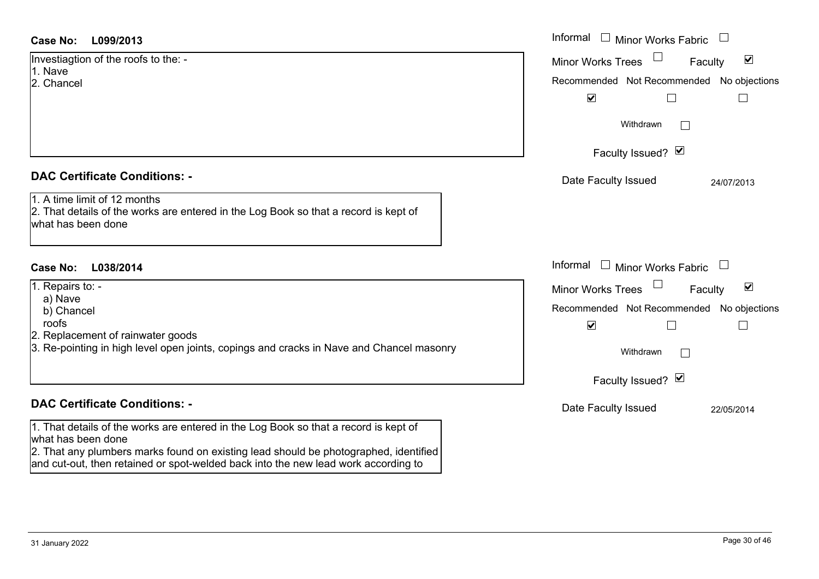| <b>Case No:</b><br>L099/2013                                                                                                                                                                       | Informal<br>$\Box$<br>Minor Works Fabric                    |
|----------------------------------------------------------------------------------------------------------------------------------------------------------------------------------------------------|-------------------------------------------------------------|
| Investiagtion of the roofs to the: -                                                                                                                                                               | $\blacktriangledown$<br><b>Minor Works Trees</b><br>Faculty |
| 1. Nave<br>2. Chancel                                                                                                                                                                              | No objections<br>Recommended Not Recommended                |
|                                                                                                                                                                                                    | $\blacktriangledown$                                        |
|                                                                                                                                                                                                    | Withdrawn<br>$\mathcal{L}^{\mathcal{A}}$                    |
|                                                                                                                                                                                                    | Faculty Issued? Ø                                           |
| <b>DAC Certificate Conditions: -</b>                                                                                                                                                               | Date Faculty Issued<br>24/07/2013                           |
| 1. A time limit of 12 months<br>2. That details of the works are entered in the Log Book so that a record is kept of<br>what has been done                                                         |                                                             |
| L038/2014<br><b>Case No:</b>                                                                                                                                                                       | Informal Informal Minor Works Fabric                        |
| 1. Repairs to: -                                                                                                                                                                                   | $\blacktriangledown$<br>Minor Works Trees<br>Faculty        |
| a) Nave<br>b) Chancel                                                                                                                                                                              | Recommended Not Recommended<br>No objections                |
| roofs                                                                                                                                                                                              | $\blacktriangledown$<br>$\Box$<br>$\vert \ \ \vert$         |
| 2. Replacement of rainwater goods<br>3. Re-pointing in high level open joints, copings and cracks in Nave and Chancel masonry                                                                      | Withdrawn<br>$\Box$                                         |
|                                                                                                                                                                                                    | Faculty Issued? Ø                                           |
| <b>DAC Certificate Conditions: -</b>                                                                                                                                                               | Date Faculty Issued<br>22/05/2014                           |
| 1. That details of the works are entered in the Log Book so that a record is kept of<br>what has been done<br>2. That any plumbers marks found on existing lead should be photographed, identified |                                                             |

and cut-out, then retained or spot-welded back into the new lead work according to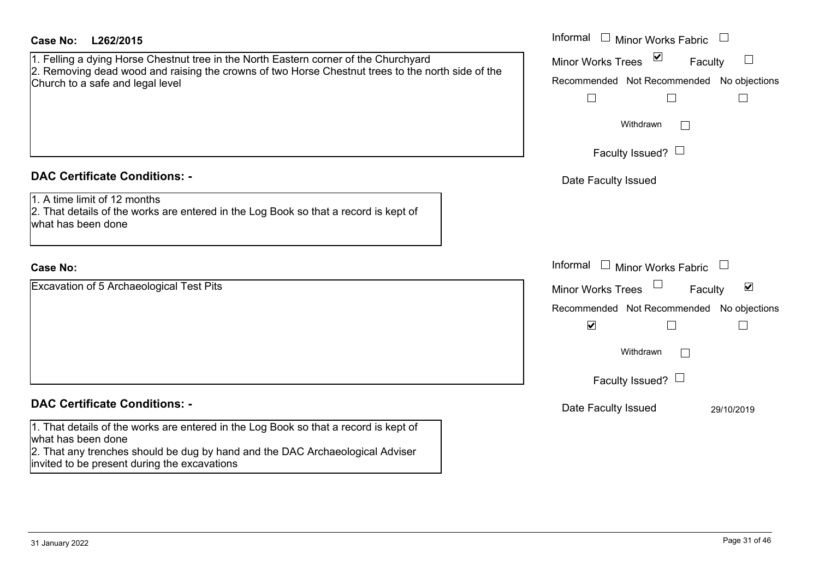| <b>Case No:</b><br>L262/2015                                                                                                                                                                | Informal $\Box$ Minor Works Fabric                          |
|---------------------------------------------------------------------------------------------------------------------------------------------------------------------------------------------|-------------------------------------------------------------|
| 1. Felling a dying Horse Chestnut tree in the North Eastern corner of the Churchyard<br>2. Removing dead wood and raising the crowns of two Horse Chestnut trees to the north side of the   | $\blacktriangledown$<br><b>Minor Works Trees</b><br>Faculty |
| Church to a safe and legal level                                                                                                                                                            | Recommended Not Recommended No objections                   |
|                                                                                                                                                                                             |                                                             |
|                                                                                                                                                                                             | Withdrawn                                                   |
|                                                                                                                                                                                             | Faculty Issued? $\Box$                                      |
| <b>DAC Certificate Conditions: -</b>                                                                                                                                                        | Date Faculty Issued                                         |
| 1. A time limit of 12 months<br>2. That details of the works are entered in the Log Book so that a record is kept of<br>what has been done                                                  |                                                             |
| <b>Case No:</b>                                                                                                                                                                             | Informal<br>$\Box$ Minor Works Fabric                       |
| Excavation of 5 Archaeological Test Pits                                                                                                                                                    | $\blacktriangledown$<br><b>Minor Works Trees</b><br>Faculty |
|                                                                                                                                                                                             | Recommended Not Recommended No objections                   |
|                                                                                                                                                                                             | $\blacktriangledown$                                        |
|                                                                                                                                                                                             | Withdrawn                                                   |
|                                                                                                                                                                                             | Faculty Issued? $\Box$                                      |
| <b>DAC Certificate Conditions: -</b>                                                                                                                                                        | Date Faculty Issued<br>29/10/2019                           |
| 1. That details of the works are entered in the Log Book so that a record is kept of<br>what has been done<br>2. That any trenches should be dug by hand and the DAC Archaeological Adviser |                                                             |
| invited to be present during the excavations                                                                                                                                                |                                                             |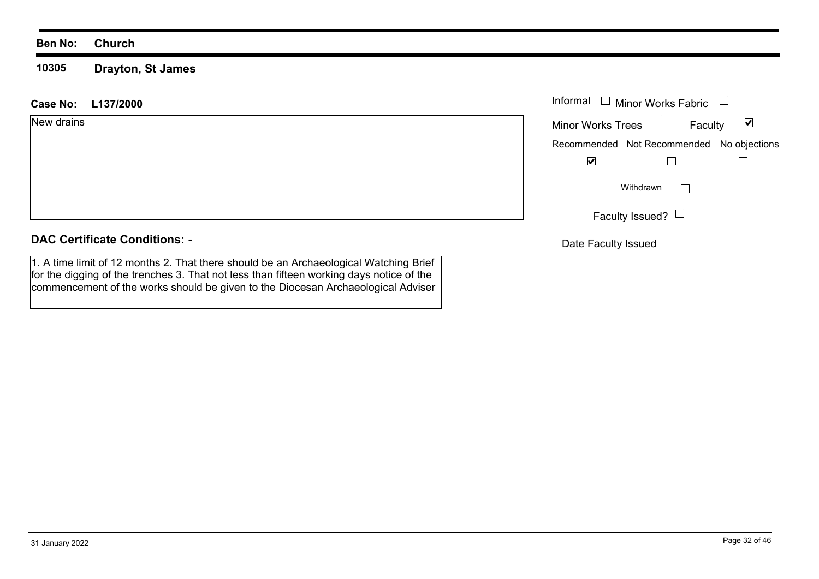#### **Ben No: Church**

**10305Drayton, St James**

#### **L137/2000Case No:** Informal

| New drains | Minor Wo |                         |
|------------|----------|-------------------------|
|            | Recomme  |                         |
|            |          | $\overline{\mathbf{v}}$ |
|            |          |                         |
|            |          |                         |
|            |          |                         |

#### **DAC Certificate Conditions: -**

1. A time limit of 12 months 2. That there should be an Archaeological Watching Brief for the digging of the trenches 3. That not less than fifteen working days notice of the commencement of the works should be given to the Diocesan Archaeological Adviser

|                          | Informal $\;\;\Box\;$ Minor Works Fabric  |   |
|--------------------------|-------------------------------------------|---|
| <b>Minor Works Trees</b> | Faculty                                   | M |
|                          | Recommended Not Recommended No objections |   |
|                          |                                           |   |
|                          | Withdrawn                                 |   |
|                          | Faculty Issued? $\Box$                    |   |

Date Faculty Issued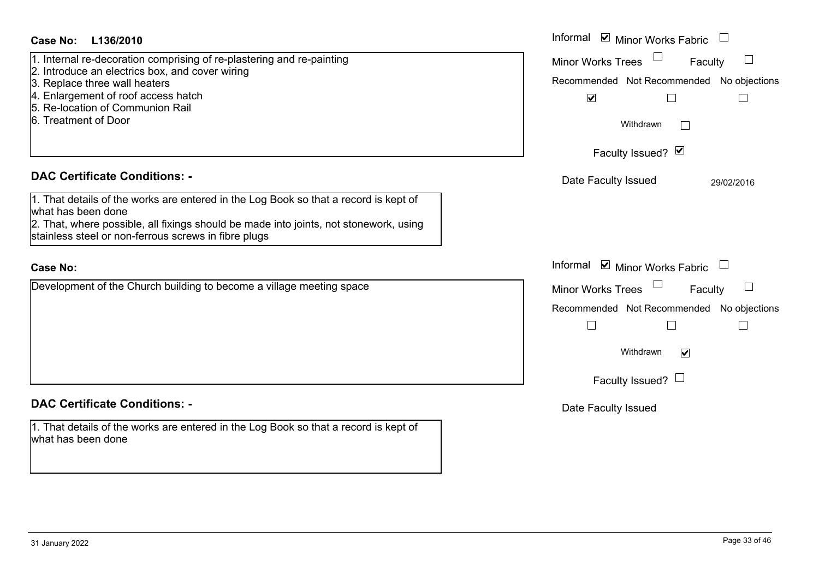| <b>Case No:</b><br>L136/2010                                                                                                                  | Informal ☑ Minor Works Fabric                             |
|-----------------------------------------------------------------------------------------------------------------------------------------------|-----------------------------------------------------------|
| 1. Internal re-decoration comprising of re-plastering and re-painting<br>2. Introduce an electrics box, and cover wiring                      | <b>Minor Works Trees</b><br>Faculty<br>L                  |
| 3. Replace three wall heaters                                                                                                                 | Recommended Not Recommended No objections                 |
| 4. Enlargement of roof access hatch                                                                                                           | $\blacktriangledown$                                      |
| 5. Re-location of Communion Rail                                                                                                              |                                                           |
| 6. Treatment of Door                                                                                                                          | Withdrawn<br>$\mathbf{I}$                                 |
|                                                                                                                                               | Faculty Issued? Ø                                         |
| <b>DAC Certificate Conditions: -</b>                                                                                                          | Date Faculty Issued<br>29/02/2016                         |
| 1. That details of the works are entered in the Log Book so that a record is kept of                                                          |                                                           |
| what has been done                                                                                                                            |                                                           |
| 2. That, where possible, all fixings should be made into joints, not stonework, using<br>stainless steel or non-ferrous screws in fibre plugs |                                                           |
|                                                                                                                                               |                                                           |
| <b>Case No:</b>                                                                                                                               | Informal $\blacksquare$ Minor Works Fabric $\blacksquare$ |
| Development of the Church building to become a village meeting space                                                                          | $\Box$<br><b>Minor Works Trees</b><br>Faculty             |
|                                                                                                                                               | Recommended Not Recommended No objections                 |
|                                                                                                                                               | L<br>$\vert \ \ \vert$                                    |
|                                                                                                                                               | Withdrawn<br>$\blacktriangledown$                         |
|                                                                                                                                               | Faculty Issued? $\Box$                                    |
| <b>DAC Certificate Conditions: -</b>                                                                                                          | Date Faculty Issued                                       |
| 1. That details of the works are entered in the Log Book so that a record is kept of<br>what has been done                                    |                                                           |
|                                                                                                                                               |                                                           |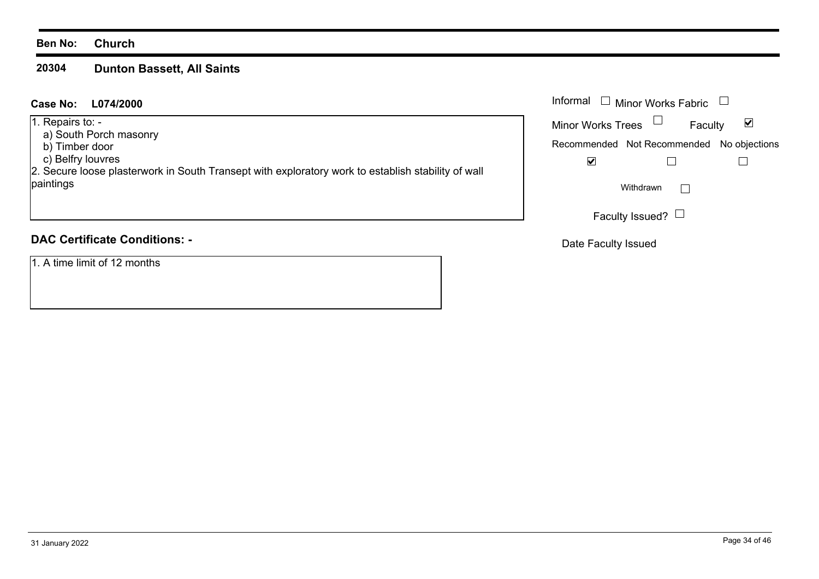#### **Ben No: Church**

#### **20304Dunton Bassett, All Saints**

#### **L074/2000 Case No:** Informal

1. Repairs to: -

a) South Porch masonry

b) Timber door

c) Belfry louvres

2. Secure loose plasterwork in South Transept with exploratory work to establish stability of wall paintings

### **DAC Certificate Conditions: -**

1. A time limit of 12 months

| Informal                 | $\Box$ Minor Works Fabric                 |  |
|--------------------------|-------------------------------------------|--|
| <b>Minor Works Trees</b> | Faculty                                   |  |
|                          | Recommended Not Recommended No objections |  |
|                          |                                           |  |
|                          | Withdrawn                                 |  |
|                          | Faculty Issued?                           |  |

Date Faculty Issued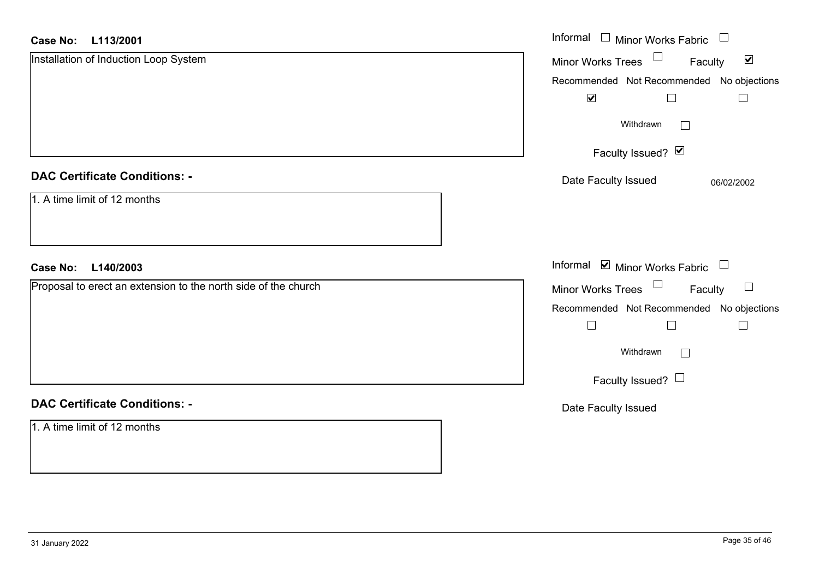#### **L113/2001Case No:**

| L113/2001<br><b>Case No:</b>                                   | Informal $\Box$ Minor Works Fabric                             |
|----------------------------------------------------------------|----------------------------------------------------------------|
| Installation of Induction Loop System                          | $\Box$<br>$\blacktriangledown$<br>Minor Works Trees<br>Faculty |
|                                                                | Recommended Not Recommended No objections                      |
|                                                                | $\blacktriangledown$<br>$\Box$                                 |
|                                                                | Withdrawn                                                      |
|                                                                | Faculty Issued? Ø                                              |
| <b>DAC Certificate Conditions: -</b>                           | Date Faculty Issued<br>06/02/2002                              |
| 1. A time limit of 12 months                                   |                                                                |
| L140/2003<br><b>Case No:</b>                                   | Informal $\blacksquare$ Minor Works Fabric $\Box$              |
| Proposal to erect an extension to the north side of the church | Minor Works Trees<br>$\Box$<br>Faculty                         |
|                                                                | Recommended Not Recommended No objections                      |
|                                                                | $\vert \ \ \vert$<br>$\perp$                                   |
|                                                                | Withdrawn<br>П                                                 |
|                                                                | Faculty Issued? $\Box$                                         |
| <b>DAC Certificate Conditions: -</b>                           | Date Faculty Issued                                            |
| 1. A time limit of 12 months                                   |                                                                |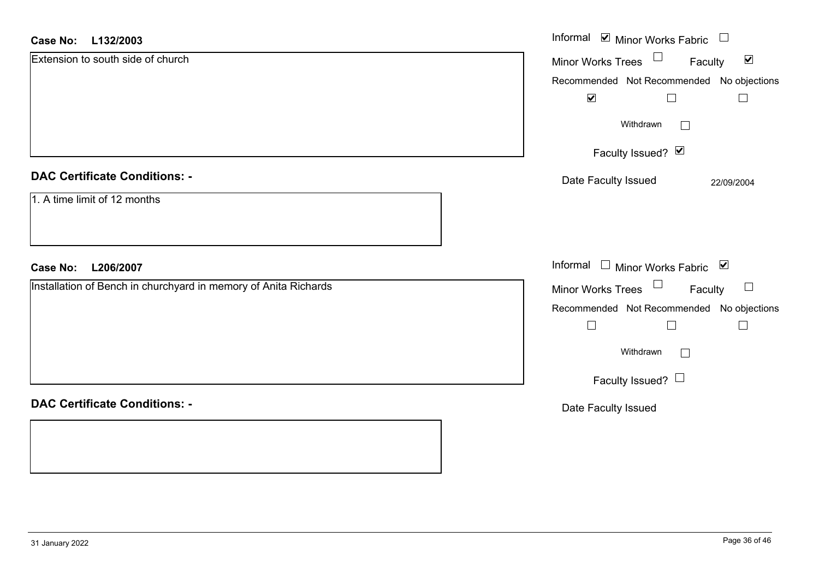#### **L132/2003Case No:**

| L132/2003<br><b>Case No:</b>                                    | Informal Ø Minor Works Fabric □                      |
|-----------------------------------------------------------------|------------------------------------------------------|
| Extension to south side of church                               | $\blacktriangledown$<br>Minor Works Trees<br>Faculty |
|                                                                 | Recommended Not Recommended No objections            |
|                                                                 | $\blacktriangledown$<br>$\Box$                       |
|                                                                 | Withdrawn                                            |
|                                                                 | Faculty Issued? Ø                                    |
| <b>DAC Certificate Conditions: -</b>                            | Date Faculty Issued<br>22/09/2004                    |
| 1. A time limit of 12 months                                    |                                                      |
| <b>Case No:</b><br>L206/2007                                    | Informal □ Minor Works Fabric ☑                      |
| Installation of Bench in churchyard in memory of Anita Richards | Minor Works Trees<br>$\Box$<br>Faculty               |
|                                                                 | Recommended Not Recommended No objections            |
|                                                                 | $\Box$<br>⊔<br>$\Box$                                |
|                                                                 | Withdrawn<br>П                                       |
|                                                                 | Faculty Issued?                                      |
| <b>DAC Certificate Conditions: -</b>                            | Date Faculty Issued                                  |
|                                                                 |                                                      |
|                                                                 |                                                      |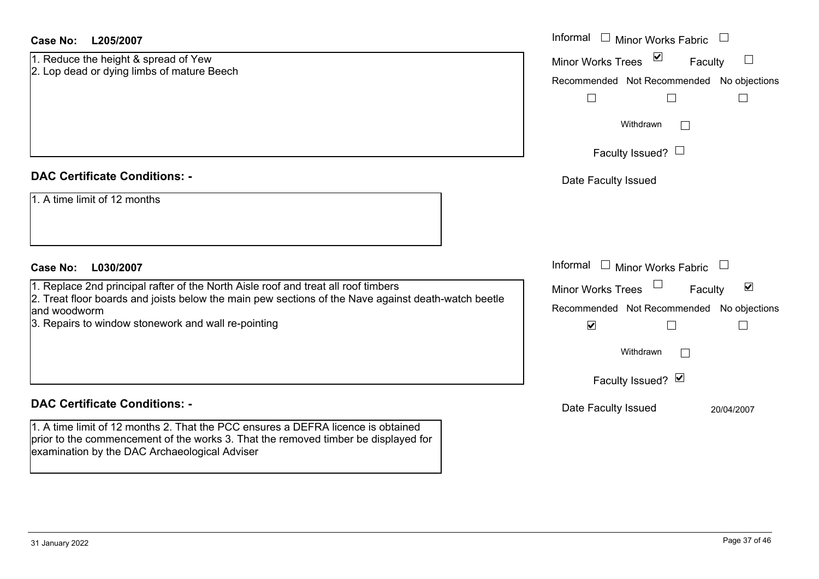| <b>Case No:</b><br>L205/2007                                                                                                                                                                                                                                     | Informal<br><b>Minor Works Fabric</b>                                                                                     |
|------------------------------------------------------------------------------------------------------------------------------------------------------------------------------------------------------------------------------------------------------------------|---------------------------------------------------------------------------------------------------------------------------|
| 1. Reduce the height & spread of Yew<br>2. Lop dead or dying limbs of mature Beech                                                                                                                                                                               | $\blacktriangledown$<br>Minor Works Trees<br>$\Box$<br>Faculty<br>Recommended Not Recommended No objections               |
|                                                                                                                                                                                                                                                                  | Withdrawn<br>$\mathcal{L}^{\mathcal{A}}$                                                                                  |
|                                                                                                                                                                                                                                                                  | Faculty Issued? $\Box$                                                                                                    |
| <b>DAC Certificate Conditions: -</b>                                                                                                                                                                                                                             | Date Faculty Issued                                                                                                       |
| 1. A time limit of 12 months                                                                                                                                                                                                                                     |                                                                                                                           |
| L030/2007<br><b>Case No:</b>                                                                                                                                                                                                                                     | Informal<br>$\Box$ Minor Works Fabric                                                                                     |
| 1. Replace 2nd principal rafter of the North Aisle roof and treat all roof timbers<br>2. Treat floor boards and joists below the main pew sections of the Nave against death-watch beetle<br>and woodworm<br>3. Repairs to window stonework and wall re-pointing | $\blacktriangledown$<br>Minor Works Trees<br>Faculty<br>Recommended Not Recommended No objections<br>$\blacktriangledown$ |
|                                                                                                                                                                                                                                                                  | Withdrawn<br>$\Box$                                                                                                       |
|                                                                                                                                                                                                                                                                  | Faculty Issued? Ø                                                                                                         |
| <b>DAC Certificate Conditions: -</b>                                                                                                                                                                                                                             | Date Faculty Issued<br>20/04/2007                                                                                         |
| 1. A time limit of 12 months 2. That the PCC ensures a DEFRA licence is obtained<br>prior to the commencement of the works 3. That the removed timber be displayed for<br>examination by the DAC Archaeological Adviser                                          |                                                                                                                           |

 $\sim$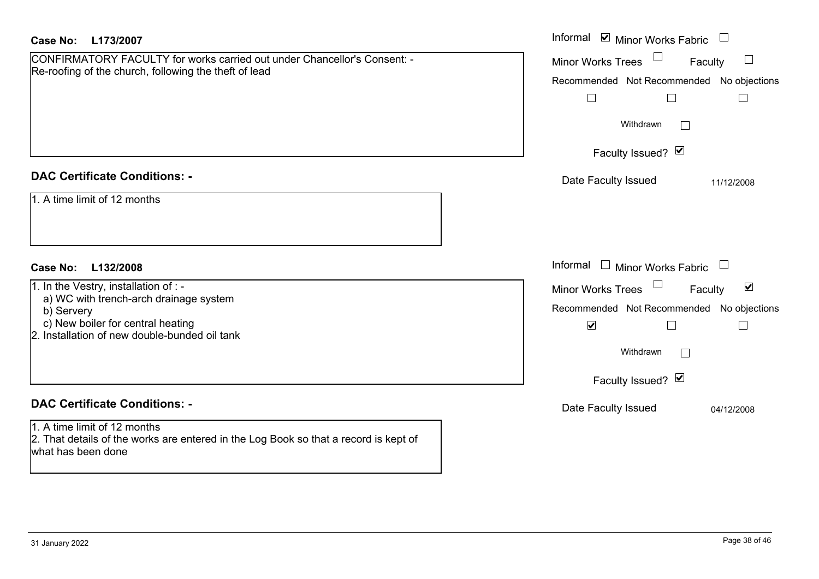| <b>Case No:</b><br>L173/2007                                                                                                                                                        | Informal Ø Minor Works Fabric U                                                                                                                                       |
|-------------------------------------------------------------------------------------------------------------------------------------------------------------------------------------|-----------------------------------------------------------------------------------------------------------------------------------------------------------------------|
| CONFIRMATORY FACULTY for works carried out under Chancellor's Consent: -<br>Re-roofing of the church, following the theft of lead                                                   | Minor Works Trees<br>Faculty<br>Recommended Not Recommended No objections<br>$\Box$<br>$\sim$<br>Withdrawn<br>$\mathbb{R}^n$                                          |
|                                                                                                                                                                                     | Faculty Issued? Ø                                                                                                                                                     |
| <b>DAC Certificate Conditions: -</b><br>1. A time limit of 12 months                                                                                                                | Date Faculty Issued<br>11/12/2008                                                                                                                                     |
| Case No: L132/2008                                                                                                                                                                  | Informal $\Box$ Minor Works Fabric $\Box$                                                                                                                             |
| 1. In the Vestry, installation of : -<br>a) WC with trench-arch drainage system<br>b) Servery<br>c) New boiler for central heating<br>2. Installation of new double-bunded oil tank | Minor Works Trees<br>$\blacktriangledown$<br>Faculty<br>Recommended Not Recommended No objections<br>$\blacktriangledown$<br>Withdrawn<br>$\Box$<br>Faculty Issued? Ø |
| <b>DAC Certificate Conditions: -</b><br>1. A time limit of 12 months<br>2. That details of the works are entered in the Log Book so that a record is kept of<br>what has been done  | Date Faculty Issued<br>04/12/2008                                                                                                                                     |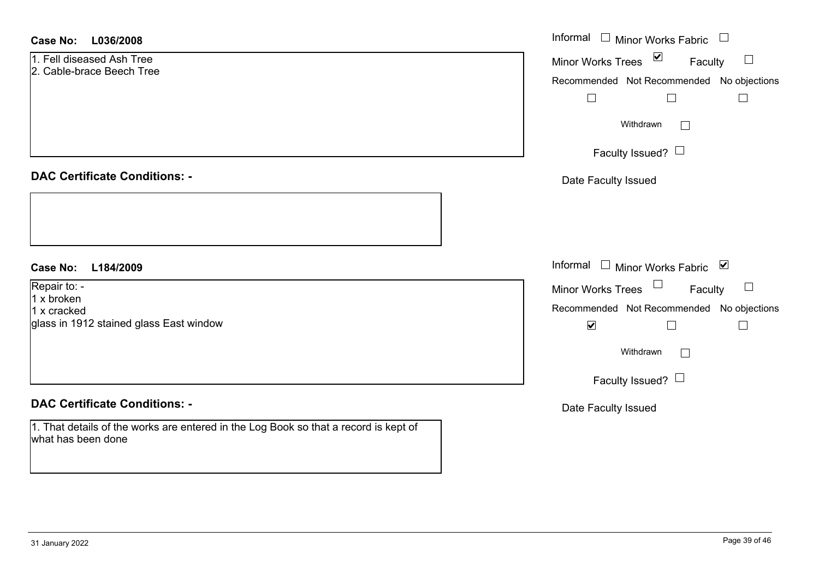| <b>Case No:</b><br>L036/2008                                                                               | Informal $\Box$ Minor Works Fabric $\Box$                                                                                                                            |
|------------------------------------------------------------------------------------------------------------|----------------------------------------------------------------------------------------------------------------------------------------------------------------------|
| 1. Fell diseased Ash Tree<br>2. Cable-brace Beech Tree                                                     | $\blacktriangledown$<br>$\Box$<br><b>Minor Works Trees</b><br>Faculty<br>Recommended Not Recommended No objections                                                   |
|                                                                                                            | Withdrawn                                                                                                                                                            |
|                                                                                                            | Faculty Issued? $\Box$                                                                                                                                               |
| <b>DAC Certificate Conditions: -</b>                                                                       | Date Faculty Issued                                                                                                                                                  |
| <b>Case No:</b><br>L184/2009                                                                               | Informal □ Minor Works Fabric ⊠                                                                                                                                      |
| Repair to: -<br>1 x broken<br>1 x cracked<br>glass in 1912 stained glass East window                       | Minor Works Trees<br>$\overline{\phantom{a}}$<br>Faculty<br>Recommended Not Recommended No objections<br>$\blacktriangledown$<br>Withdrawn<br>Faculty Issued? $\Box$ |
| <b>DAC Certificate Conditions: -</b>                                                                       | Date Faculty Issued                                                                                                                                                  |
| 1. That details of the works are entered in the Log Book so that a record is kept of<br>what has been done |                                                                                                                                                                      |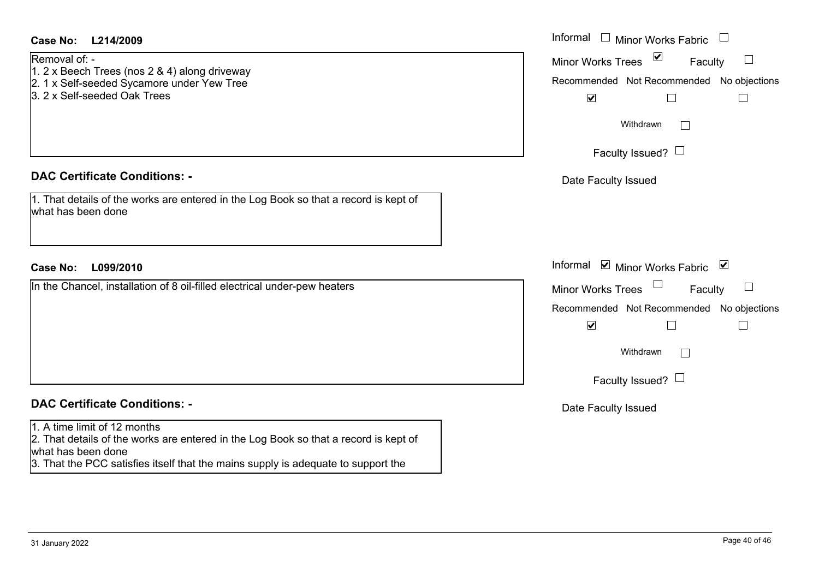| <b>Case No:</b><br>L214/2009                                                                                                               | Informal $\Box$ Minor Works Fabric                        |
|--------------------------------------------------------------------------------------------------------------------------------------------|-----------------------------------------------------------|
| Removal of: -                                                                                                                              | Minor Works Trees ⊠<br>Faculty<br>⊔                       |
| 1. 2 x Beech Trees (nos $2 & 4$ ) along driveway<br>2. 1 x Self-seeded Sycamore under Yew Tree                                             | Recommended Not Recommended No objections                 |
| 3. 2 x Self-seeded Oak Trees                                                                                                               | $\blacktriangledown$<br>$\Box$                            |
|                                                                                                                                            | Withdrawn<br>$\mathbb{R}^n$                               |
|                                                                                                                                            | Faculty Issued? $\Box$                                    |
| <b>DAC Certificate Conditions: -</b>                                                                                                       | Date Faculty Issued                                       |
| 1. That details of the works are entered in the Log Book so that a record is kept of<br>what has been done                                 |                                                           |
|                                                                                                                                            |                                                           |
| <b>Case No:</b><br>L099/2010                                                                                                               | Informal $\blacksquare$ Minor Works Fabric $\blacksquare$ |
| In the Chancel, installation of 8 oil-filled electrical under-pew heaters                                                                  | ⊔<br><b>Minor Works Trees</b><br>Faculty                  |
|                                                                                                                                            | Recommended Not Recommended No objections                 |
|                                                                                                                                            | $\blacktriangledown$                                      |
|                                                                                                                                            | Withdrawn<br>$\Box$                                       |
|                                                                                                                                            | Faculty Issued? $\Box$                                    |
| <b>DAC Certificate Conditions: -</b>                                                                                                       | Date Faculty Issued                                       |
| 1. A time limit of 12 months<br>2. That details of the works are entered in the Log Book so that a record is kept of<br>what has been done |                                                           |
| 3. That the PCC satisfies itself that the mains supply is adequate to support the                                                          |                                                           |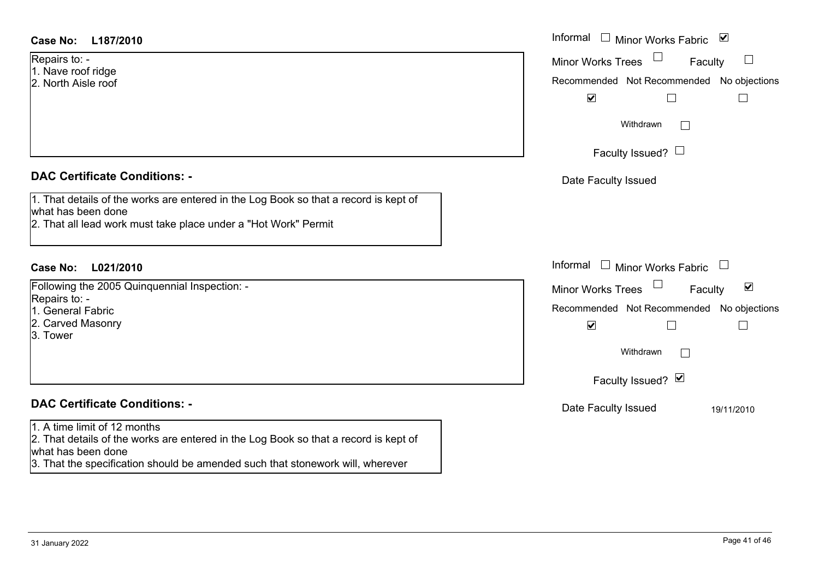| Case No: | L187/2010 |
|----------|-----------|
|----------|-----------|

Repairs to: - 1. Nave roof ridge

2. North Aisle roof

#### **DAC Certificate Conditions: -**

|                    |  | 1. That details of the works are entered in the Log Book so that a record is kept of |  |
|--------------------|--|--------------------------------------------------------------------------------------|--|
|                    |  |                                                                                      |  |
| what has been done |  |                                                                                      |  |
|                    |  |                                                                                      |  |

2. That all lead work must take place under a "Hot Work" Permit

#### **L021/2010Case No:** Informal

Following the 2005 Quinquennial Inspection: - Repairs to: -

1. General Fabric

2. Carved Masonry

3. Tower

### **DAC Certificate Conditions: -**

#### 1. A time limit of 12 months

2. That details of the works are entered in the Log Book so that a record is kept of what has been done

3. That the specification should be amended such that stonework will, wherever

| L187/2010                                                                                                                                          | Informal □ Minor Works Fabric<br>$\overline{\mathsf{v}}$                                                                                                                                      |
|----------------------------------------------------------------------------------------------------------------------------------------------------|-----------------------------------------------------------------------------------------------------------------------------------------------------------------------------------------------|
| O. -<br>oof ridge<br>Aisle roof                                                                                                                    | Minor Works Trees<br>Faculty<br>$\Box$<br>Recommended Not Recommended No objections                                                                                                           |
|                                                                                                                                                    | $\blacktriangledown$<br>$\mathbf{L}$<br>Withdrawn<br>$\mathbb{R}^n$<br>Faculty Issued? $\Box$                                                                                                 |
| rtificate Conditions: -                                                                                                                            | Date Faculty Issued                                                                                                                                                                           |
| etails of the works are entered in the Log Book so that a record is kept of<br>been done<br>Il lead work must take place under a "Hot Work" Permit |                                                                                                                                                                                               |
| L021/2010                                                                                                                                          | Informal $\Box$ Minor Works Fabric $\Box$                                                                                                                                                     |
| the 2005 Quinquennial Inspection: -<br>O. -<br>al Fabric<br>d Masonry                                                                              | Minor Works Trees<br>$\blacktriangledown$<br>Faculty<br>Recommended Not Recommended No objections<br>$\blacktriangledown$<br>$\mathbf{I}$<br>Withdrawn<br>$\mathbb{R}^n$<br>Faculty Issued? Ø |
| rtificate Conditions: -                                                                                                                            | Date Faculty Issued<br>19/11/2010                                                                                                                                                             |
| limit of 12 months<br>المستقطع والمتواط والمستحل والمتماز والمتاري والمسترات والمستحلون والمستحدث والمستند والمائية والمنازع                       |                                                                                                                                                                                               |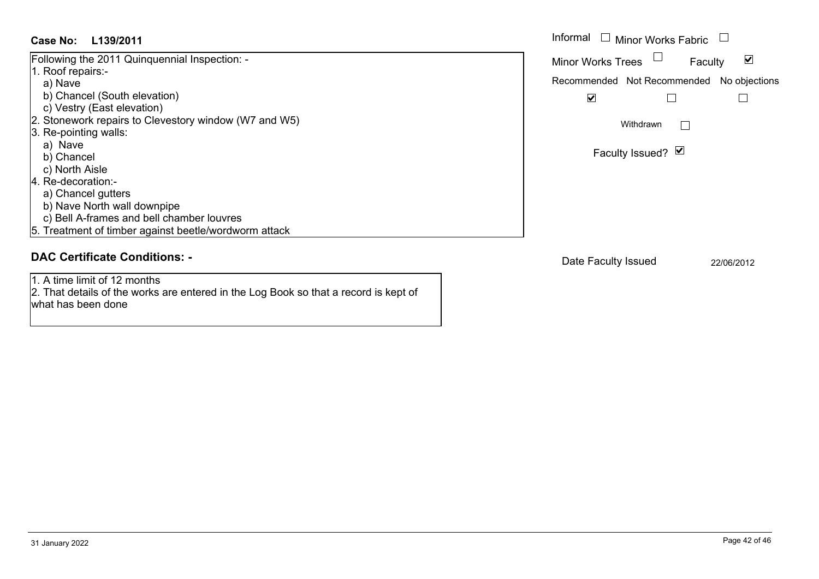#### **L139/2011Case No:** Informal

Following the 2011 Quinquennial Inspection: - 1. Roof repairs: a) Nave b) Chancel (South elevation) c) Vestry (East elevation) 2. Stonework repairs to Clevestory window (W7 and W5) 3. Re-pointing walls: a) Nave b) Chancel c) North Aisle 4. Re-decoration: a) Chancel gutters b) Nave North wall downpipe c) Bell A-frames and bell chamber louvres 5. Treatment of timber against beetle/wordworm attack

#### **DAC Certificate Conditions: -**

1. A time limit of 12 months2. That details of the works are entered in the Log Book so that a record is kept of what has been done

Informal  $\Box$  Minor Works Fabric  $\Box$  $\blacktriangledown$ Faculty Minor Works Trees Recommended Not Recommended No objections  $\Box$  $\overline{\mathbf{v}}$  $\Box$ Withdrawn $\Box$ Faculty Issued? Ø

Date Faculty Issued 22/06/2012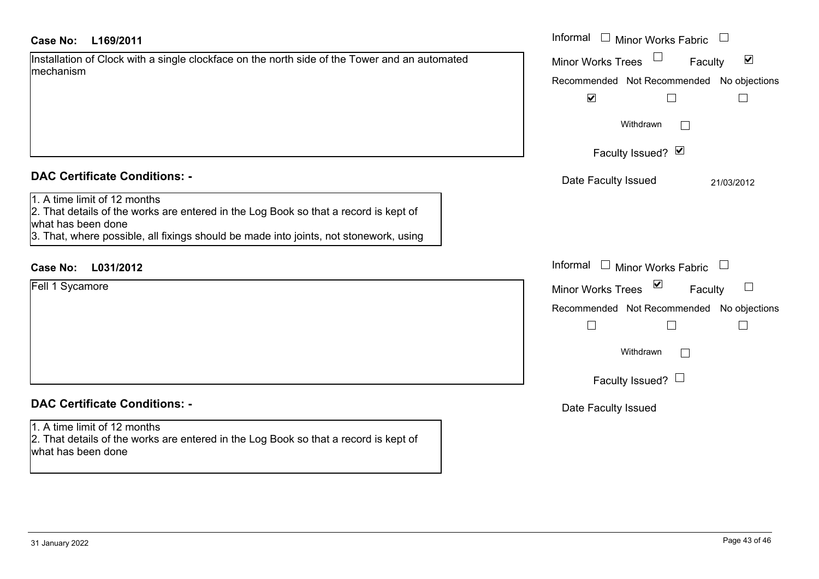#### **L169/2011Case No:** Informal

| Installation of Clock with a single clockface on the north side of the Tower and an automated |  |
|-----------------------------------------------------------------------------------------------|--|
| mechanism                                                                                     |  |

#### **DAC Certificate Conditions: -**

#### 1. A time limit of 12 months

2. That details of the works are entered in the Log Book so that a record is kept of what has been done

3. That, where possible, all fixings should be made into joints, not stonework, using

### **L031/2012Case No:** Informal

| Fell 1 Sycamore |  |  |  |
|-----------------|--|--|--|
|                 |  |  |  |
|                 |  |  |  |
|                 |  |  |  |
|                 |  |  |  |
|                 |  |  |  |
|                 |  |  |  |
|                 |  |  |  |

### **DAC Certificate Conditions: -**

#### 1. A time limit of 12 months

2. That details of the works are entered in the Log Book so that a record is kept of what has been done

| Informal<br><b>Minor Works Fabric</b>                       |
|-------------------------------------------------------------|
| $\blacktriangledown$<br><b>Minor Works Trees</b><br>Faculty |
| Recommended Not Recommended No objections                   |
| $\blacktriangledown$                                        |
| Withdrawn                                                   |
| Faculty Issued? Ø                                           |
| Date Faculty Issued<br>21/03/2012                           |
|                                                             |
|                                                             |
|                                                             |
| Informal<br>Minor Works Fabric $\Box$                       |
| ⊻<br><b>Minor Works Trees</b><br>Faculty                    |
| Recommended Not Recommended No objections                   |
|                                                             |
| Withdrawn                                                   |
| Faculty Issued? $\Box$                                      |
| Date Faculty Issued                                         |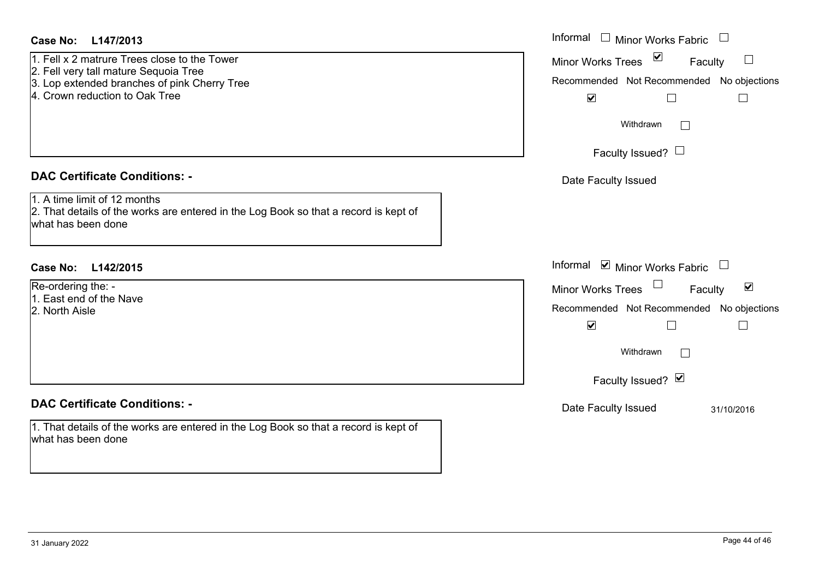- 1. Fell x 2 matrure Trees close to the Tower
- 2. Fell very tall mature Sequoia Tree
- 3. Lop extended branches of pink Cherry Tree
- 4. Crown reduction to Oak Tree

#### **DAC Certificate Conditions: -**

1. A time limit of 12 months2. That details of the works are entered in the Log Book so that a record is kept of what has been done

#### **L142/2015Case No:** Informal

| Re-ordering the: -      |  |
|-------------------------|--|
| 1. East end of the Nave |  |
| 2. North Aisle          |  |

#### **DAC Certificate Conditions: -**

1. That details of the works are entered in the Log Book so that a record is kept of what has been done

| L147/2013                                                                                                      | Informal □ Minor Works Fabric                                         |
|----------------------------------------------------------------------------------------------------------------|-----------------------------------------------------------------------|
| 2 matrure Trees close to the Tower<br>ry tall mature Sequoia Tree                                              | $\sum$<br>$\mathcal{L}_{\mathcal{A}}$<br>Minor Works Trees<br>Faculty |
| tended branches of pink Cherry Tree                                                                            | Recommended Not Recommended No objections                             |
| reduction to Oak Tree                                                                                          | $\blacktriangledown$                                                  |
|                                                                                                                | Withdrawn                                                             |
|                                                                                                                | Faculty Issued? $\Box$                                                |
| rtificate Conditions: -                                                                                        | Date Faculty Issued                                                   |
| limit of 12 months<br>etails of the works are entered in the Log Book so that a record is kept of<br>been done |                                                                       |
| L142/2015                                                                                                      | Informal $\blacksquare$ Minor Works Fabric $\blacksquare$             |
| ing the: $-$                                                                                                   | $\blacktriangledown$<br>Minor Works Trees<br>Faculty                  |
| nd of the Nave<br>Aisle                                                                                        | Recommended Not Recommended No objections                             |
|                                                                                                                | $\blacktriangledown$<br>$\mathsf{L}$                                  |
|                                                                                                                | Withdrawn                                                             |
|                                                                                                                | Faculty Issued? Ø                                                     |
| rtificate Conditions: -                                                                                        | Date Faculty Issued<br>31/10/2016                                     |
| etails of the works are entered in the Log Book so that a record is kept of<br>heen done                       |                                                                       |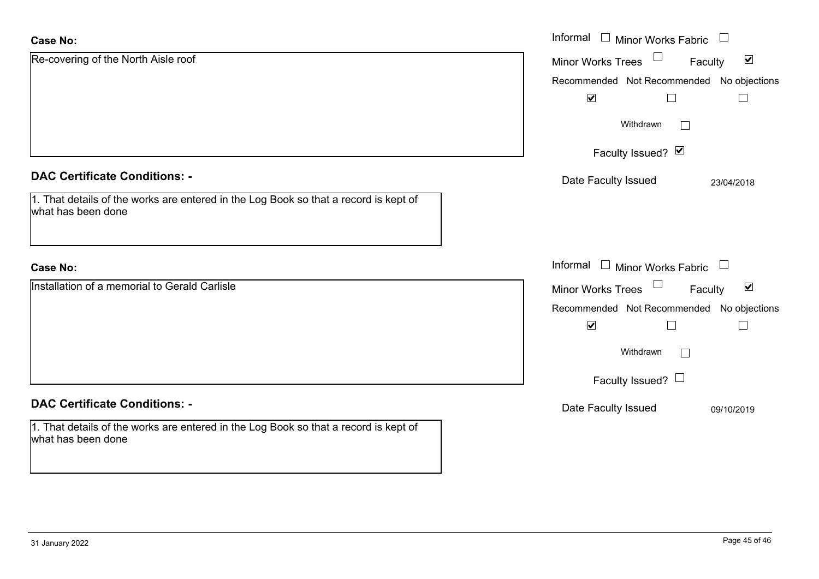| <b>Case No:</b>                                                                                            | Informal<br>$\overline{\phantom{a}}$<br><b>Minor Works Fabric</b> |
|------------------------------------------------------------------------------------------------------------|-------------------------------------------------------------------|
| Re-covering of the North Aisle roof                                                                        | $\blacktriangledown$<br>Minor Works Trees<br>Faculty              |
|                                                                                                            | Recommended Not Recommended No objections                         |
|                                                                                                            | $\blacktriangledown$                                              |
|                                                                                                            | Withdrawn                                                         |
|                                                                                                            | Faculty Issued? Ø                                                 |
| <b>DAC Certificate Conditions: -</b>                                                                       | Date Faculty Issued<br>23/04/2018                                 |
| 1. That details of the works are entered in the Log Book so that a record is kept of<br>what has been done |                                                                   |
| <b>Case No:</b>                                                                                            | Informal $\Box$ Minor Works Fabric $\Box$                         |
| Installation of a memorial to Gerald Carlisle                                                              | $\blacktriangledown$<br>$\Box$<br>Minor Works Trees<br>Faculty    |
|                                                                                                            | Recommended Not Recommended No objections                         |
|                                                                                                            | $\blacktriangledown$                                              |
|                                                                                                            | Withdrawn                                                         |
|                                                                                                            | Faculty Issued? $\Box$                                            |
| <b>DAC Certificate Conditions: -</b>                                                                       | Date Faculty Issued<br>09/10/2019                                 |
| 1. That details of the works are entered in the Log Book so that a record is kept of<br>what has been done |                                                                   |

ш.